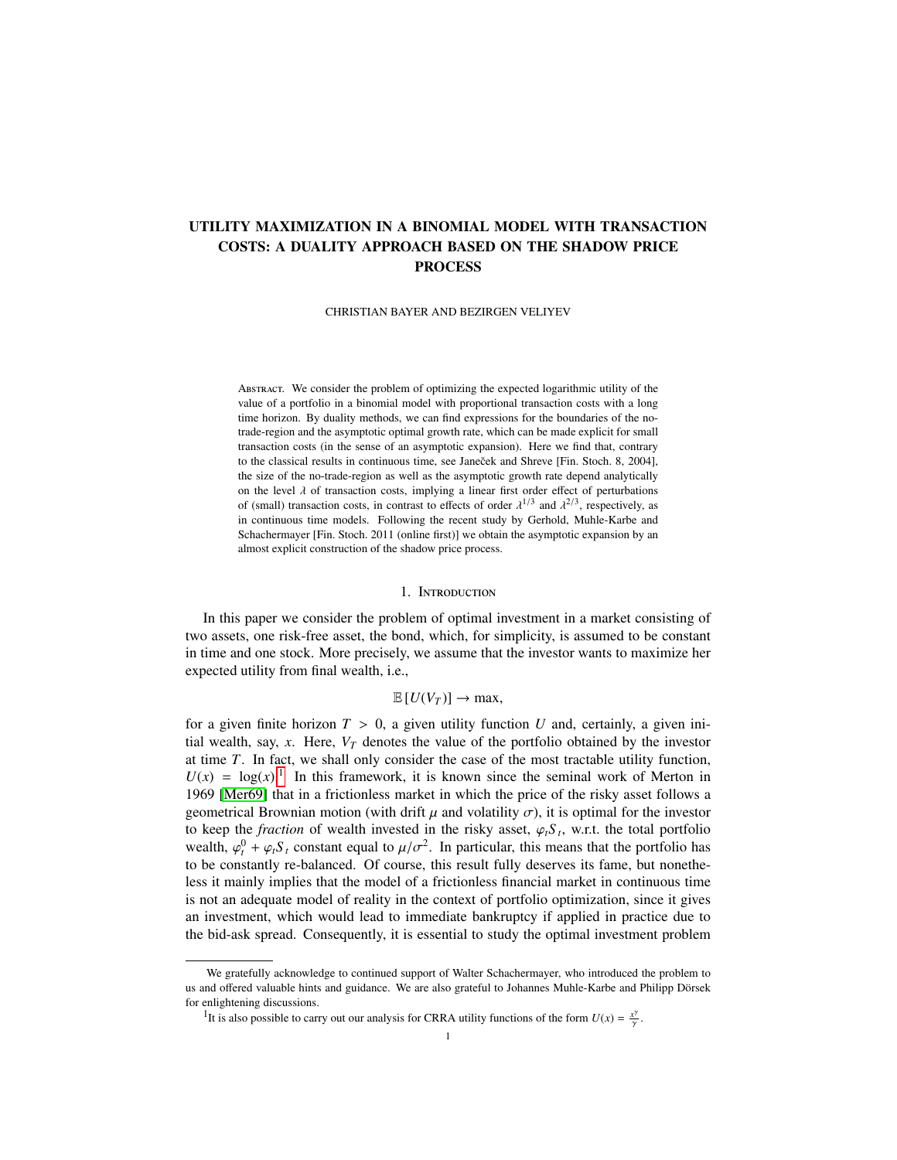# UTILITY MAXIMIZATION IN A BINOMIAL MODEL WITH TRANSACTION COSTS: A DUALITY APPROACH BASED ON THE SHADOW PRICE PROCESS

CHRISTIAN BAYER AND BEZIRGEN VELIYEV

Abstract. We consider the problem of optimizing the expected logarithmic utility of the value of a portfolio in a binomial model with proportional transaction costs with a long time horizon. By duality methods, we can find expressions for the boundaries of the notrade-region and the asymptotic optimal growth rate, which can be made explicit for small transaction costs (in the sense of an asymptotic expansion). Here we find that, contrary to the classical results in continuous time, see Janeček and Shreve [Fin. Stoch. 8, 2004], the size of the no-trade-region as well as the asymptotic growth rate depend analytically on the level  $\lambda$  of transaction costs, implying a linear first order effect of perturbations of (small) transaction costs, in contrast to effects of order  $\lambda^{1/3}$  and  $\lambda^{2/3}$ , respectively, as in continuous time models. Following the recent study by Gerbold, Muhle-Karbe and in continuous time models. Following the recent study by Gerhold, Muhle-Karbe and Schachermayer [Fin. Stoch. 2011 (online first)] we obtain the asymptotic expansion by an almost explicit construction of the shadow price process.

### 1. Introduction

In this paper we consider the problem of optimal investment in a market consisting of two assets, one risk-free asset, the bond, which, for simplicity, is assumed to be constant in time and one stock. More precisely, we assume that the investor wants to maximize her expected utility from final wealth, i.e.,

## $\mathbb{E}[U(V_T)] \to \max$ ,

for a given finite horizon  $T > 0$ , a given utility function U and, certainly, a given initial wealth, say,  $x$ . Here,  $V_T$  denotes the value of the portfolio obtained by the investor at time *T*. In fact, we shall only consider the case of the most tractable utility function,  $U(x) = \log(x)$ .<sup>[1](#page-0-0)</sup> In this framework, it is known since the seminal work of Merton in 1969 [\[Mer69\]](#page-17-0) that in a frictionless market in which the price of the risky asset follows a geometrical Brownian motion (with drift  $\mu$  and volatility  $\sigma$ ), it is optimal for the investor to keep the *fraction* of wealth invested in the risky asset,  $\varphi_t S_t$ , w.r.t. the total portfolio has wealth,  $\varphi_t^0 + \varphi_t S_t$  constant equal to  $\mu/\sigma^2$ . In particular, this means that the portfolio has to be constantly re-balanced. Of course, this result fully deserves its fame, but nonether to be constantly re-balanced. Of course, this result fully deserves its fame, but nonetheless it mainly implies that the model of a frictionless financial market in continuous time is not an adequate model of reality in the context of portfolio optimization, since it gives an investment, which would lead to immediate bankruptcy if applied in practice due to the bid-ask spread. Consequently, it is essential to study the optimal investment problem

γ

We gratefully acknowledge to continued support of Walter Schachermayer, who introduced the problem to us and offered valuable hints and guidance. We are also grateful to Johannes Muhle-Karbe and Philipp Dörsek for enlightening discussions.

<span id="page-0-0"></span><sup>&</sup>lt;sup>1</sup>It is also possible to carry out our analysis for CRRA utility functions of the form  $U(x) = \frac{x^{\gamma}}{x}$ .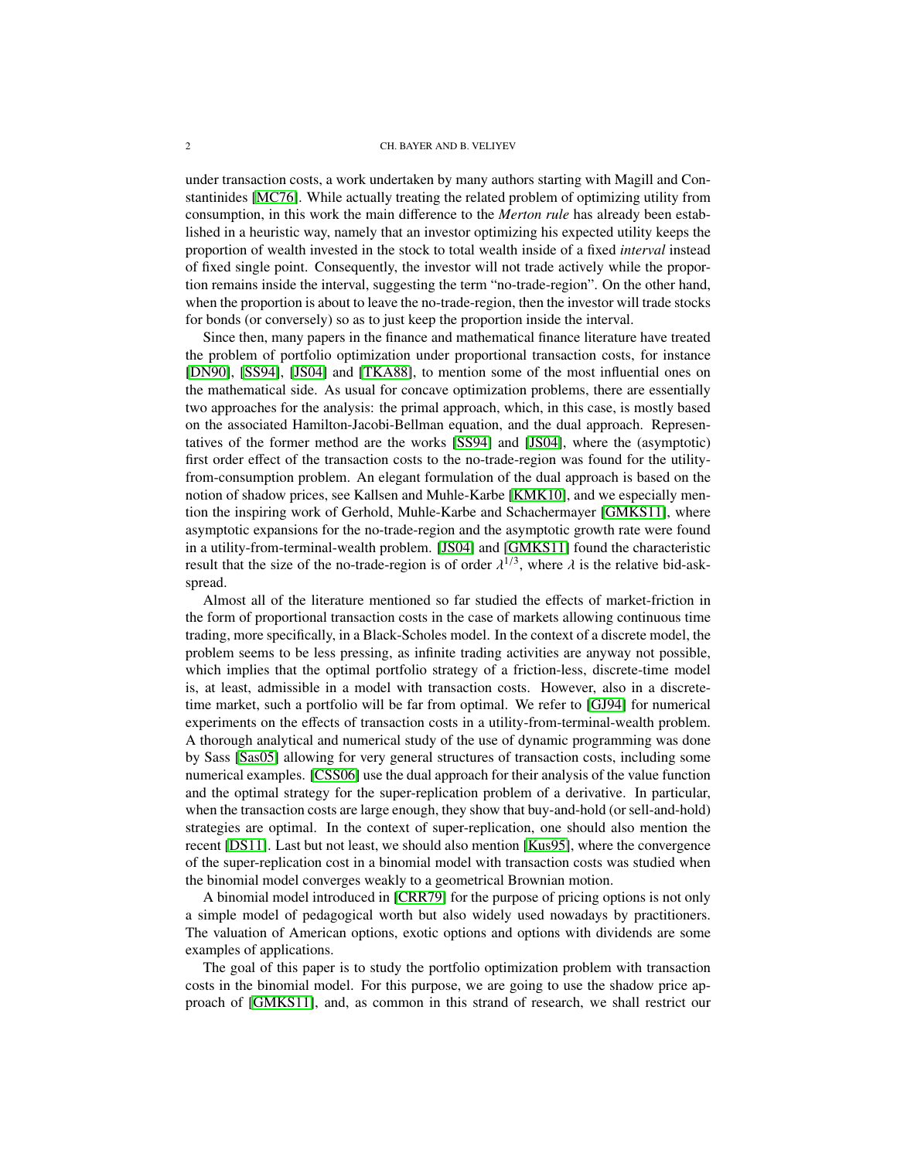under transaction costs, a work undertaken by many authors starting with Magill and Constantinides [\[MC76\]](#page-17-1). While actually treating the related problem of optimizing utility from consumption, in this work the main difference to the *Merton rule* has already been established in a heuristic way, namely that an investor optimizing his expected utility keeps the proportion of wealth invested in the stock to total wealth inside of a fixed *interval* instead of fixed single point. Consequently, the investor will not trade actively while the proportion remains inside the interval, suggesting the term "no-trade-region". On the other hand, when the proportion is about to leave the no-trade-region, then the investor will trade stocks for bonds (or conversely) so as to just keep the proportion inside the interval.

Since then, many papers in the finance and mathematical finance literature have treated the problem of portfolio optimization under proportional transaction costs, for instance [\[DN90\]](#page-16-0), [\[SS94\]](#page-17-2), [\[JS04\]](#page-16-1) and [\[TKA88\]](#page-17-3), to mention some of the most influential ones on the mathematical side. As usual for concave optimization problems, there are essentially two approaches for the analysis: the primal approach, which, in this case, is mostly based on the associated Hamilton-Jacobi-Bellman equation, and the dual approach. Representatives of the former method are the works [\[SS94\]](#page-17-2) and [\[JS04\]](#page-16-1), where the (asymptotic) first order effect of the transaction costs to the no-trade-region was found for the utilityfrom-consumption problem. An elegant formulation of the dual approach is based on the notion of shadow prices, see Kallsen and Muhle-Karbe [\[KMK10\]](#page-16-2), and we especially mention the inspiring work of Gerhold, Muhle-Karbe and Schachermayer [\[GMKS11\]](#page-16-3), where asymptotic expansions for the no-trade-region and the asymptotic growth rate were found in a utility-from-terminal-wealth problem. [\[JS04\]](#page-16-1) and [\[GMKS11\]](#page-16-3) found the characteristic result that the size of the no-trade-region is of order  $\lambda^{1/3}$ , where  $\lambda$  is the relative bid-askspread.

Almost all of the literature mentioned so far studied the effects of market-friction in the form of proportional transaction costs in the case of markets allowing continuous time trading, more specifically, in a Black-Scholes model. In the context of a discrete model, the problem seems to be less pressing, as infinite trading activities are anyway not possible, which implies that the optimal portfolio strategy of a friction-less, discrete-time model is, at least, admissible in a model with transaction costs. However, also in a discretetime market, such a portfolio will be far from optimal. We refer to [\[GJ94\]](#page-16-4) for numerical experiments on the effects of transaction costs in a utility-from-terminal-wealth problem. A thorough analytical and numerical study of the use of dynamic programming was done by Sass [\[Sas05\]](#page-17-4) allowing for very general structures of transaction costs, including some numerical examples. [\[CSS06\]](#page-16-5) use the dual approach for their analysis of the value function and the optimal strategy for the super-replication problem of a derivative. In particular, when the transaction costs are large enough, they show that buy-and-hold (or sell-and-hold) strategies are optimal. In the context of super-replication, one should also mention the recent [\[DS11\]](#page-16-6). Last but not least, we should also mention [\[Kus95\]](#page-17-5), where the convergence of the super-replication cost in a binomial model with transaction costs was studied when the binomial model converges weakly to a geometrical Brownian motion.

A binomial model introduced in [\[CRR79\]](#page-16-7) for the purpose of pricing options is not only a simple model of pedagogical worth but also widely used nowadays by practitioners. The valuation of American options, exotic options and options with dividends are some examples of applications.

The goal of this paper is to study the portfolio optimization problem with transaction costs in the binomial model. For this purpose, we are going to use the shadow price approach of [\[GMKS11\]](#page-16-3), and, as common in this strand of research, we shall restrict our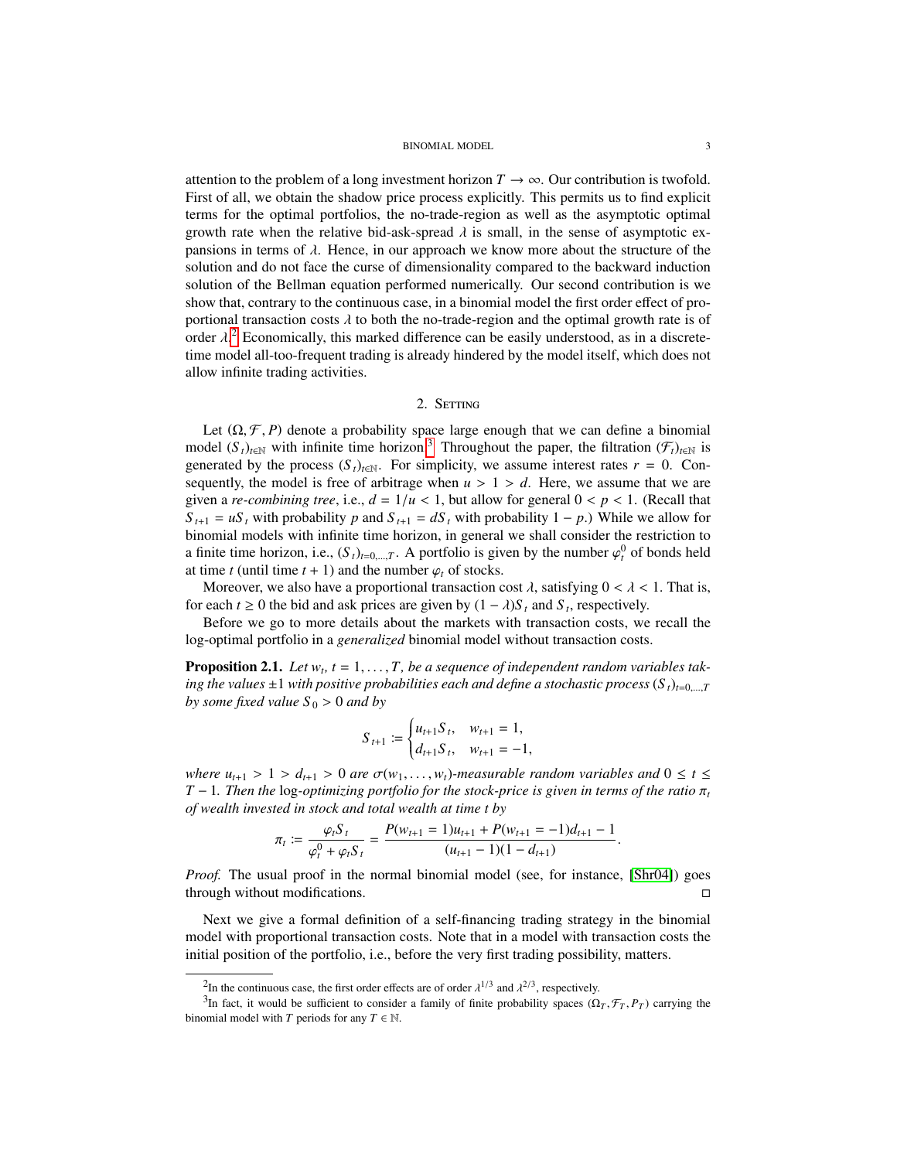attention to the problem of a long investment horizon  $T \to \infty$ . Our contribution is twofold. First of all, we obtain the shadow price process explicitly. This permits us to find explicit terms for the optimal portfolios, the no-trade-region as well as the asymptotic optimal growth rate when the relative bid-ask-spread  $\lambda$  is small, in the sense of asymptotic expansions in terms of  $\lambda$ . Hence, in our approach we know more about the structure of the solution and do not face the curse of dimensionality compared to the backward induction solution of the Bellman equation performed numerically. Our second contribution is we show that, contrary to the continuous case, in a binomial model the first order effect of proportional transaction costs  $\lambda$  to both the no-trade-region and the optimal growth rate is of order  $\lambda$ .<sup>[2](#page-2-0)</sup> Economically, this marked difference can be easily understood, as in a discrete-<br>time model all-too-frequent trading is already hindered by the model itself, which does not time model all-too-frequent trading is already hindered by the model itself, which does not allow infinite trading activities.

## 2. SETTING

Let  $(\Omega, \mathcal{F}, P)$  denote a probability space large enough that we can define a binomial model  $(S_t)_{t \in \mathbb{N}}$  with infinite time horizon.<sup>[3](#page-2-1)</sup> Throughout the paper, the filtration  $(\mathcal{F}_t)_{t \in \mathbb{N}}$  is generated by the process  $(S_t)_{t \in \mathbb{N}}$ . For simplicity, we assume interest rates  $r = 0$ . Consequently, the model is free of arbitrage when  $u > 1 > d$ . Here, we assume that we are given a *re-combining tree*, i.e.,  $d = 1/u < 1$ , but allow for general  $0 < p < 1$ . (Recall that  $S_{t+1} = uS_t$  with probability *p* and  $S_{t+1} = dS_t$  with probability 1 − *p*.) While we allow for binomial models with infinite time horizon, in general we shall consider the restriction to a finite time horizon, i.e.,  $(S_t)_{t=0,\dots,T}$ . A portfolio is given by the number  $\varphi_t^0$  of bonds held<br>at time t (until time t + 1) and the number  $\varphi_t$  of stocks at time *t* (until time  $t + 1$ ) and the number  $\varphi_t$  of stocks.

Moreover, we also have a proportional transaction cost  $\lambda$ , satisfying  $0 < \lambda < 1$ . That is, for each *t* ≥ 0 the bid and ask prices are given by  $(1 - \lambda)S_t$  and  $S_t$ , respectively.<br>Before we go to more details about the markets with transaction costs, we

Before we go to more details about the markets with transaction costs, we recall the log-optimal portfolio in a *generalized* binomial model without transaction costs.

<span id="page-2-2"></span>**Proposition 2.1.** *Let*  $w_t$ ,  $t = 1, \ldots, T$ , *be a sequence of independent random variables tak-*<br>*ing the values* +1 with positive probabilities each and define a stochastic process (S,), e.g. *ing the values*  $\pm 1$  *with positive probabilities each and define a stochastic process*  $(S_t)_{t=0,\dots,T}$ *by some fixed value*  $S_0 > 0$  *and by* 

$$
S_{t+1} := \begin{cases} u_{t+1} S_t, & w_{t+1} = 1, \\ d_{t+1} S_t, & w_{t+1} = -1, \end{cases}
$$

*where*  $u_{t+1} > 1 > d_{t+1} > 0$  *are*  $\sigma(w_1, \ldots, w_t)$ -measurable random variables and  $0 \le t \le T-1$ . Then the log-ontimizing portfolio for the stock-price is given in terms of the ratio  $\pi$ .  $T - 1$ *. Then the* log-optimizing portfolio for the stock-price is given in terms of the ratio  $\pi$ <sub>t</sub> *of wealth invested in stock and total wealth at time t by*

$$
\pi_t := \frac{\varphi_t S_t}{\varphi_t^0 + \varphi_t S_t} = \frac{P(w_{t+1} = 1)u_{t+1} + P(w_{t+1} = -1)d_{t+1} - 1}{(u_{t+1} - 1)(1 - d_{t+1})}
$$

*Proof.* The usual proof in the normal binomial model (see, for instance, [\[Shr04\]](#page-17-6)) goes through without modifications.

Next we give a formal definition of a self-financing trading strategy in the binomial model with proportional transaction costs. Note that in a model with transaction costs the initial position of the portfolio, i.e., before the very first trading possibility, matters.

<span id="page-2-1"></span><span id="page-2-0"></span><sup>&</sup>lt;sup>2</sup>In the continuous case, the first order effects are of order  $\lambda^{1/3}$  and  $\lambda^{2/3}$ , respectively.

<sup>&</sup>lt;sup>3</sup>In fact, it would be sufficient to consider a family of finite probability spaces  $(\Omega_T, \mathcal{F}_T, P_T)$  carrying the probability model with  $T$  periods for any  $T \in \mathbb{N}$ binomial model with *T* periods for any  $T \in \mathbb{N}$ .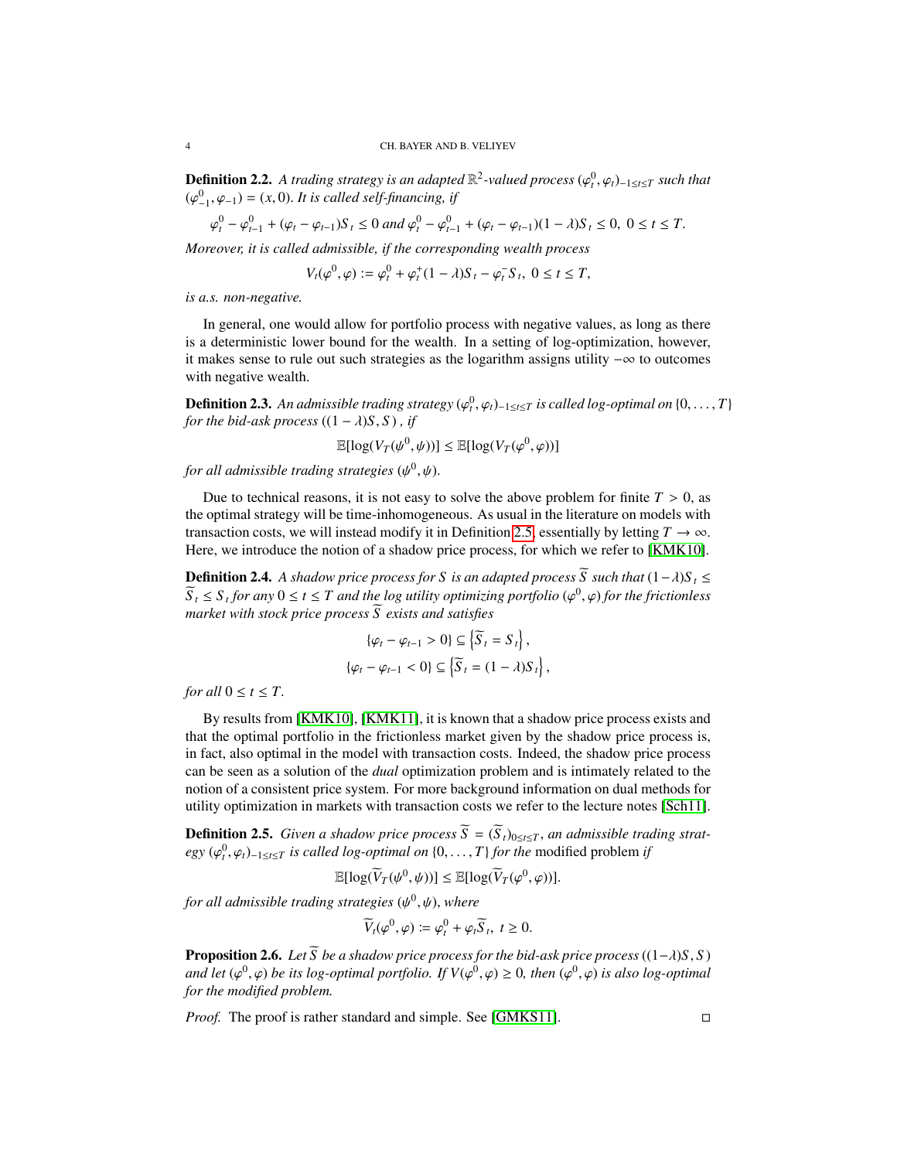**Definition 2.2.** *A trading strategy is an adapted*  $\mathbb{R}^2$ -valued process  $(\varphi_t^0, \varphi_t)_{-1 \le t \le T}$  such that  $(\varphi_t^0, \varphi_t) = (x, 0)$ . It is called self-financing if  $(\varphi_{-1}^0, \varphi_{-1}) = (x, 0)$ . *It is called self-financing, if* 

$$
\varphi_t^0 - \varphi_{t-1}^0 + (\varphi_t - \varphi_{t-1})S_t \le 0 \text{ and } \varphi_t^0 - \varphi_{t-1}^0 + (\varphi_t - \varphi_{t-1})(1 - \lambda)S_t \le 0, \ 0 \le t \le T.
$$

*Moreover, it is called admissible, if the corresponding wealth process*  $\alpha$ 

 $\alpha$ 

$$
V_t(\varphi^0, \varphi) := \varphi^0_t + \varphi^+_t(1-\lambda)S_t - \varphi^-_tS_t, \ 0 \le t \le T,
$$

*is a.s. non-negative.*

In general, one would allow for portfolio process with negative values, as long as there is a deterministic lower bound for the wealth. In a setting of log-optimization, however, it makes sense to rule out such strategies as the logarithm assigns utility −∞ to outcomes with negative wealth.

**Definition 2.3.** An admissible trading strategy  $(\varphi_t^0, \varphi_t)_{-1 \le t \le T}$  is called log-optimal on  $\{0, \ldots, T\}$  for the hid-ask process  $((1 - \lambda)S, S)$  if *for the bid-ask process*  $((1 - \lambda)S, S)$ , *if* 

$$
\mathbb{E}[\log(V_T(\psi^0, \psi))] \le \mathbb{E}[\log(V_T(\varphi^0, \varphi))]
$$

for all admissible trading strategies  $(\psi^0, \psi)$ .

Due to technical reasons, it is not easy to solve the above problem for finite  $T > 0$ , as the optimal strategy will be time-inhomogeneous. As usual in the literature on models with transaction costs, we will instead modify it in Definition [2.5,](#page-3-0) essentially by letting  $T \to \infty$ . Here, we introduce the notion of a shadow price process, for which we refer to [\[KMK10\]](#page-16-2).

**Definition 2.4.** A shadow price process for S is an adapted process  $\widetilde{S}$  such that  $(1 - \lambda)S_t \leq$  $\overline{S}_t \leq S_t$  *for any*  $0 \leq t \leq T$  *and the log utility optimizing portfolio* ( $\varphi^0, \varphi$ ) *for the frictionless* market with stock price process  $\overline{S}$  exists and satisfies *market with stock price process*  $\widetilde{S}$  *exists and satisfies* 

$$
\{\varphi_t - \varphi_{t-1} > 0\} \subseteq \left\{\overline{S}_t = S_t\right\},\
$$

$$
\{\varphi_t - \varphi_{t-1} < 0\} \subseteq \left\{\overline{S}_t = (1 - \lambda)S_t\right\},\
$$

*for all*  $0 \le t \le T$ *.* 

By results from [\[KMK10\]](#page-16-2), [\[KMK11\]](#page-17-7), it is known that a shadow price process exists and that the optimal portfolio in the frictionless market given by the shadow price process is, in fact, also optimal in the model with transaction costs. Indeed, the shadow price process can be seen as a solution of the *dual* optimization problem and is intimately related to the notion of a consistent price system. For more background information on dual methods for utility optimization in markets with transaction costs we refer to the lecture notes [\[Sch11\]](#page-17-8).

<span id="page-3-0"></span>**Definition 2.5.** *Given a shadow price process*  $\widetilde{S} = (\widetilde{S}_t)_{0 \le t \le T}$ , *an admissible trading strat* $egy$  ( $\varphi_t^0, \varphi_t$ )−1≤*t*≤*T is called log-optimal on* {0, ..., *T*} *for the* modified problem *if* 

$$
\mathbb{E}[\log(\widetilde{V}_T(\psi^0,\psi))] \leq \mathbb{E}[\log(\widetilde{V}_T(\varphi^0,\varphi))].
$$

*for all admissible trading strategies* (ψ<sup>0</sup>, ψ), *where* 

$$
\widetilde{V}_t(\varphi^0,\varphi)\coloneqq\varphi_t^0+\varphi_t\widetilde{S}_t, \ t\geq 0.
$$

<span id="page-3-1"></span>**Proposition 2.6.** *Let*  $\overline{S}$  *be a shadow price process for the bid-ask price process*  $((1-\lambda)S, S)$ *and let* ( $\varphi^0$ ,  $\varphi$ ) *be its log-optimal portfolio. If*  $V(\varphi^0, \varphi) \ge 0$ , *then* ( $\varphi^0$ , $\varphi$ ) *is also log-optimal* for the modified problem *for the modified problem.*

*Proof.* The proof is rather standard and simple. See [\[GMKS11\]](#page-16-3).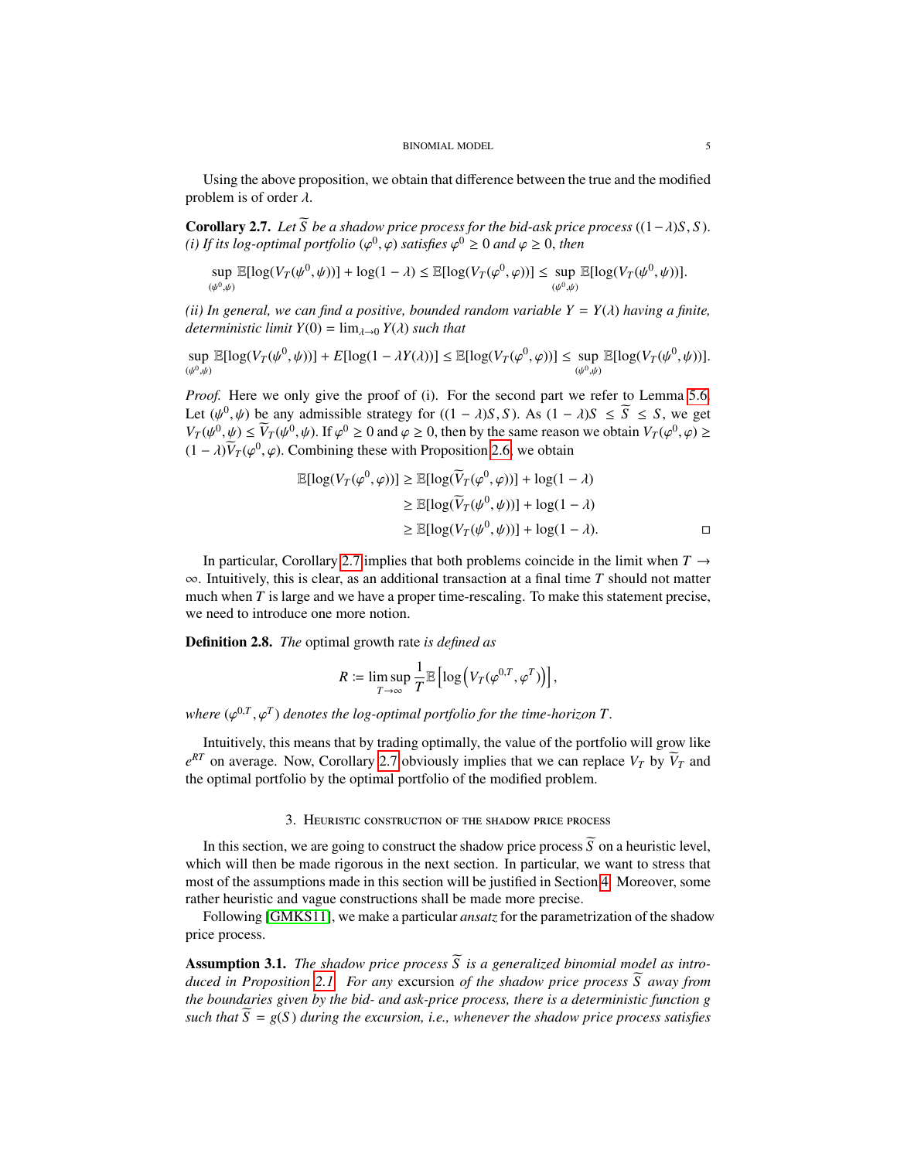Using the above proposition, we obtain that difference between the true and the modified problem is of order  $\lambda$ .

<span id="page-4-0"></span>**Corollary 2.7.** *Let*  $\widetilde{S}$  *be a shadow price process for the bid-ask price process*  $((1 - \lambda)S, S)$ *.* (*i*) If its log-optimal portfolio ( $\varphi^0$ ,  $\varphi$ ) satisfies  $\varphi^0 \ge 0$  and  $\varphi \ge 0$ , then

$$
\sup_{(\psi^0,\psi)} \mathbb{E}[\log(V_T(\psi^0,\psi))] + \log(1-\lambda) \leq \mathbb{E}[\log(V_T(\varphi^0,\varphi))] \leq \sup_{(\psi^0,\psi)} \mathbb{E}[\log(V_T(\psi^0,\psi))].
$$

*(ii) In general, we can find a positive, bounded random variable*  $Y = Y(\lambda)$  *having a finite, deterministic limit*  $Y(0) = \lim_{\lambda \to 0} Y(\lambda)$  *such that* 

sup  $\sup_{(\psi^0,\psi)} \mathbb{E}[\log(V_T(\psi^0,\psi))] + E[\log(1-\lambda Y(\lambda))] \leq \mathbb{E}[\log(V_T(\varphi^0,\varphi))] \leq \sup_{(\psi^0,\psi)} \mathbb{E}[\log(V_T(\psi^0,\psi))].$ 

*Proof.* Here we only give the proof of (i). For the second part we refer to Lemma [5.6.](#page-13-0) Let  $(\psi^0, \psi)$  be any admissible strategy for  $((1 - \lambda)S, S)$ . As  $(1 - \lambda)S \leq \overline{S} \leq S$ , we get  $V_{\alpha}(\psi^0, \psi) \leq \widetilde{V}_{\alpha}(\psi^0, \psi)$ . If  $\omega^0 > 0$  and  $\omega > 0$ , then by the same reason we obtain  $V_{\alpha}(\omega^0, \omega) >$  $V_T(\psi^0, \psi) \le \widetilde{V}_T(\psi^0, \psi)$ . If  $\varphi^0 \ge 0$  and  $\varphi \ge 0$ , then by the same reason we obtain  $V_T(\varphi^0, \varphi) \ge$ <br>(1)  $\widetilde{V}_T(\varphi^0, \varphi)$ . Combining these with Proposition 2.6, we obtain  $(1 - \lambda)\tilde{V}_T(\varphi^0, \varphi)$ . Combining these with Proposition [2.6,](#page-3-1) we obtain

$$
\mathbb{E}[\log(V_T(\varphi^0, \varphi))] \ge \mathbb{E}[\log(\widetilde{V}_T(\varphi^0, \varphi))] + \log(1 - \lambda)
$$
  
\n
$$
\ge \mathbb{E}[\log(\widetilde{V}_T(\psi^0, \psi))] + \log(1 - \lambda)
$$
  
\n
$$
\ge \mathbb{E}[\log(V_T(\psi^0, \psi))] + \log(1 - \lambda).
$$

In particular, Corollary [2.7](#page-4-0) implies that both problems coincide in the limit when  $T \rightarrow$ ∞. Intuitively, this is clear, as an additional transaction at a final time *T* should not matter much when *T* is large and we have a proper time-rescaling. To make this statement precise, we need to introduce one more notion.

<span id="page-4-3"></span>Definition 2.8. *The* optimal growth rate *is defined as*

$$
R \coloneqq \limsup_{T \to \infty} \frac{1}{T} \mathbb{E} \left[ \log \left( V_T(\varphi^{0,T}, \varphi^T) \right) \right],
$$

where  $(\varphi^{0,T}, \varphi^T)$  *denotes the log-optimal portfolio for the time-horizon*  $T$ .

Intuitively, this means that by trading optimally, the value of the portfolio will grow like  $e^{RT}$  on average. Now, Corollary [2.7](#page-4-0) obviously implies that we can replace *V<sub>T</sub>* by  $\overline{V}_T$  and the optimal portfolio by the optimal portfolio of the modified problem.

## 3. Heuristic construction of the shadow price process

<span id="page-4-2"></span>In this section, we are going to construct the shadow price process  $\widetilde{S}$  on a heuristic level, which will then be made rigorous in the next section. In particular, we want to stress that most of the assumptions made in this section will be justified in Section [4.](#page-8-0) Moreover, some rather heuristic and vague constructions shall be made more precise.

Following [\[GMKS11\]](#page-16-3), we make a particular *ansatz* for the parametrization of the shadow price process.

<span id="page-4-1"></span>**Assumption 3.1.** *The shadow price process*  $\widetilde{S}$  *is a generalized binomial model as introduced in Proposition* [2.1.](#page-2-2) *For any* excursion *of the shadow price process*  $\overline{S}$  *away from the boundaries given by the bid- and ask-price process, there is a deterministic function g such that*  $\overline{S} = g(S)$  *during the excursion, i.e., whenever the shadow price process satisfies*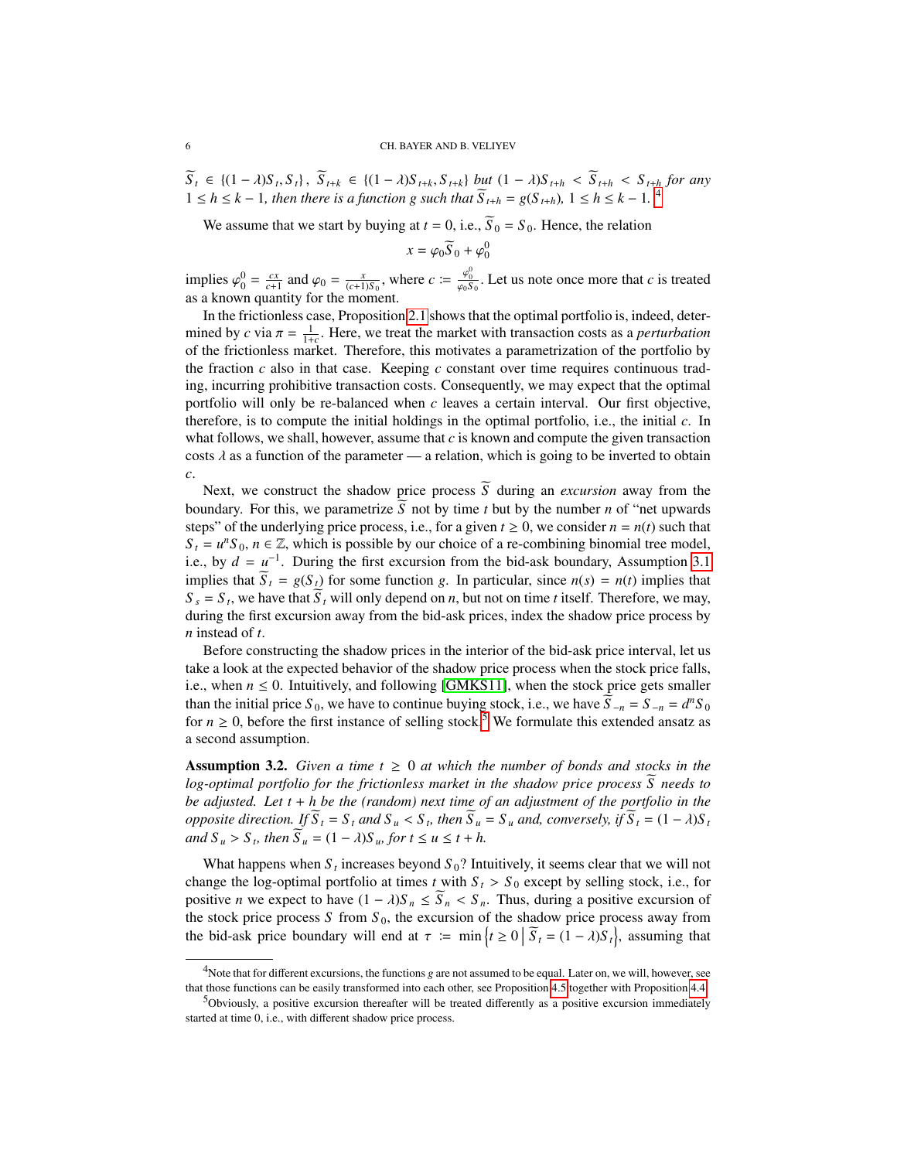$S_t \in \{(1-\lambda)S_t, S_t\}, S_{t+k} \in \{(1-\lambda)S_{t+k}, S_{t+k}\}\;but\; (1-\lambda)S_{t+h} < S_{t+h} < S_{t+h}$  for any<br> $1 \leq b \leq k-1$ , then there is a function a such that  $\widetilde{S}_{t+1} = \alpha(S_{t+1})$ ,  $1 \leq b \leq k-1$ ,  $4$  $1 ≤ h ≤ k − 1$ *, then there is a function g such that*  $\widetilde{S}_{t+h} = g(S_{t+h})$ ,  $1 ≤ h ≤ k − 1$ .

We assume that we start by buying at  $t = 0$ , i.e.,  $\widetilde{S}_0 = S_0$ . Hence, the relation

$$
x = \varphi_0 \widetilde{S}_0 + \varphi_0^0
$$

implies  $\varphi_0^0 = \frac{cx}{c+1}$  and  $\varphi_0 = \frac{x}{(c+1)S_0}$ , where  $c := \frac{\varphi_0^0}{\varphi_0S_0}$ . Let us note once more that *c* is treated as a known quantity for the moment.

In the frictionless case, Proposition [2.1](#page-2-2) shows that the optimal portfolio is, indeed, determined by *c* via  $\pi = \frac{1}{1+c}$ . Here, we treat the market with transaction costs as a *perturbation* of the frictionless market. Therefore, this motivates a parametrization of the portfolio by of the frictionless market. Therefore, this motivates a parametrization of the portfolio by the fraction  $c$  also in that case. Keeping  $c$  constant over time requires continuous trading, incurring prohibitive transaction costs. Consequently, we may expect that the optimal portfolio will only be re-balanced when *c* leaves a certain interval. Our first objective, therefore, is to compute the initial holdings in the optimal portfolio, i.e., the initial *c*. In what follows, we shall, however, assume that *c* is known and compute the given transaction costs  $\lambda$  as a function of the parameter — a relation, which is going to be inverted to obtain *c*.

Next, we construct the shadow price process  $\widetilde{S}$  during an *excursion* away from the boundary. For this, we parametrize  $\widetilde{S}$  not by time *t* but by the number *n* of "net upwards" steps" of the underlying price process, i.e., for a given  $t \ge 0$ , we consider  $n = n(t)$  such that  $S_t = u^n S_0$ ,  $n \in \mathbb{Z}$ , which is possible by our choice of a re-combining binomial tree model, i.e., by  $d = u^{-1}$ . During the first excursion from the bid-ask boundary, Assumption [3.1](#page-4-1) implies that  $\widetilde{S}_t = g(S_t)$  for some function *g*. In particular, since  $n(s) = n(t)$  implies that  $S_s = S_t$ , we have that  $S_t$  will only depend on *n*, but not on time *t* itself. Therefore, we may, during the first excursion away from the bid-ask prices, index the shadow price process by *n* instead of *t*.

Before constructing the shadow prices in the interior of the bid-ask price interval, let us take a look at the expected behavior of the shadow price process when the stock price falls, i.e., when  $n \leq 0$ . Intuitively, and following [\[GMKS11\]](#page-16-3), when the stock price gets smaller than the initial price  $S_0$ , we have to continue buying stock, i.e., we have  $\widetilde{S}_{-n} = S_{-n} = d^n S_0$ for  $n \ge 0$ , before the first instance of selling stock.<sup>[5](#page-5-1)</sup> We formulate this extended ansatz as a second assumption.

**Assumption 3.2.** *Given a time*  $t \geq 0$  *at which the number of bonds and stocks in the log-optimal portfolio for the frictionless market in the shadow price process*  $\tilde{S}$  needs to *be adjusted. Let t* + *h be the (random) next time of an adjustment of the portfolio in the* opposite direction. If  $\overline{S}_t = S_t$  and  $S_u < S_t$ , then  $\overline{S}_u = S_u$  and, conversely, if  $\overline{S}_t = (1 - \lambda)S_t$ <br>and  $S_s > S_t$ , then  $\overline{S}_t = (1 - \lambda)S_t$  for  $t \le u \le t + h$  $\int \frac{dx}{dt} = \int (1 - \lambda)S_u$ , for  $t \le u \le t + h$ .

What happens when  $S_t$  increases beyond  $S_0$ ? Intuitively, it seems clear that we will not change the log-optimal portfolio at times *t* with  $S_t > S_0$  except by selling stock, i.e., for positive *n* we expect to have  $(1 - \lambda)S_n \le \overline{S}_n < S_n$ . Thus, during a positive excursion of the stock price process  $S$  from  $S_0$ , the excursion of the shadow price process away from the bid-ask price boundary will end at  $\tau := \min \{ t \ge 0 \mid \widetilde{S}_t = (1 - \lambda) S_t \}$ , assuming that

<span id="page-5-0"></span><sup>&</sup>lt;sup>4</sup>Note that for different excursions, the functions *g* are not assumed to be equal. Later on, we will, however, see that those functions can be easily transformed into each other, see Proposition [4.5](#page-10-0) together with Proposition [4.4.](#page-9-0)

<span id="page-5-1"></span><sup>&</sup>lt;sup>5</sup>Obviously, a positive excursion thereafter will be treated differently as a positive excursion immediately started at time 0, i.e., with different shadow price process.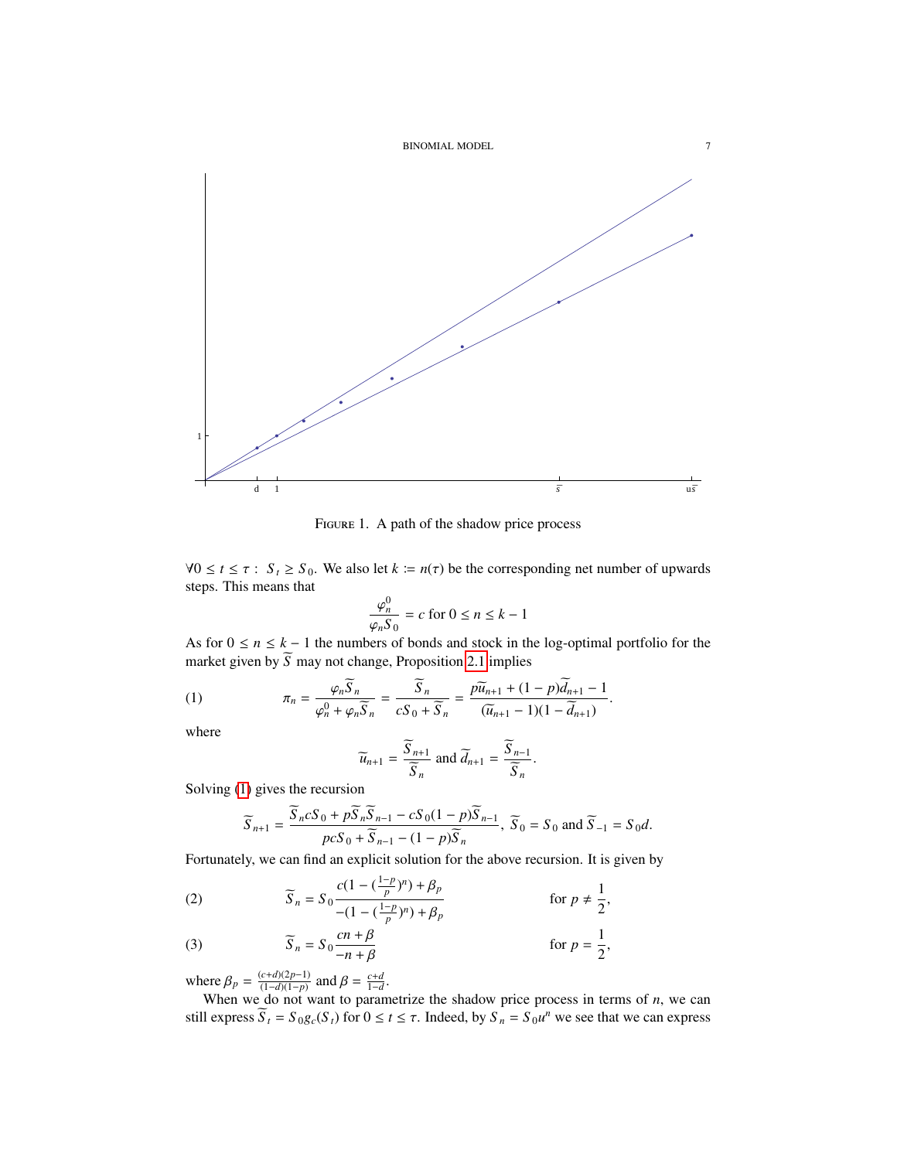

Figure 1. A path of the shadow price process

 $∀0 ≤ t ≤ τ : S<sub>t</sub> ≥ S<sub>0</sub>.$  We also let *k*  $:= n(τ)$  be the corresponding net number of upwards steps. This means that

$$
\frac{\varphi_n^0}{\varphi_n S_0} = c \text{ for } 0 \le n \le k - 1
$$

 $\varphi_n S_0$ <br>As for  $0 \le n \le k - 1$  the numbers of bonds and stock in the log-optimal portfolio for the market given by  $\widetilde{S}$  may not change, Proposition [2.1](#page-2-2) implies

(1) 
$$
\pi_n = \frac{\varphi_n \overline{S}_n}{\varphi_n^0 + \varphi_n \overline{S}_n} = \frac{\overline{S}_n}{cS_0 + \overline{S}_n} = \frac{p\overline{u}_{n+1} + (1-p)\overline{d}_{n+1} - 1}{(\overline{u}_{n+1} - 1)(1 - \overline{d}_{n+1})}.
$$

where

<span id="page-6-0"></span>
$$
\widetilde{u}_{n+1} = \frac{\widetilde{S}_{n+1}}{\widetilde{S}_n} \text{ and } \widetilde{d}_{n+1} = \frac{\widetilde{S}_{n-1}}{\widetilde{S}_n}.
$$

Solving [\(1\)](#page-6-0) gives the recursion

$$
\widetilde{S}_{n+1} = \frac{\widetilde{S}_n c S_0 + p \widetilde{S}_n \widetilde{S}_{n-1} - c S_0 (1-p) \widetilde{S}_{n-1}}{p c S_0 + \widetilde{S}_{n-1} - (1-p) \widetilde{S}_n}, \ \widetilde{S}_0 = S_0 \text{ and } \widetilde{S}_{-1} = S_0 d.
$$

Fortunately, we can find an explicit solution for the above recursion. It is given by

<span id="page-6-1"></span>(2) 
$$
\widetilde{S}_n = S_0 \frac{c(1 - (\frac{1-p}{p})^n) + \beta_p}{-(1 - (\frac{1-p}{p})^n) + \beta_p} \quad \text{for } p \neq \frac{1}{2},
$$

(3) 
$$
\widetilde{S}_n = S_0 \frac{cn + \beta}{-n + \beta} \qquad \text{for } p = \frac{1}{2},
$$

where  $\beta_p = \frac{(c+d)(2p-1)}{(1-d)(1-p)}$ <br>When we do not y

ere  $\beta_p = \frac{(c+d)(2p-1)}{(1-d)(1-p)}$  and  $\beta = \frac{c+d}{1-d}$ .<br>When we do not want to parametrize the shadow price process in terms of *n*, we can still express  $\overline{S}_t = S_0 g_c(S_t)$  for  $0 \le t \le \tau$ . Indeed, by  $S_n = S_0 u^n$  we see that we can express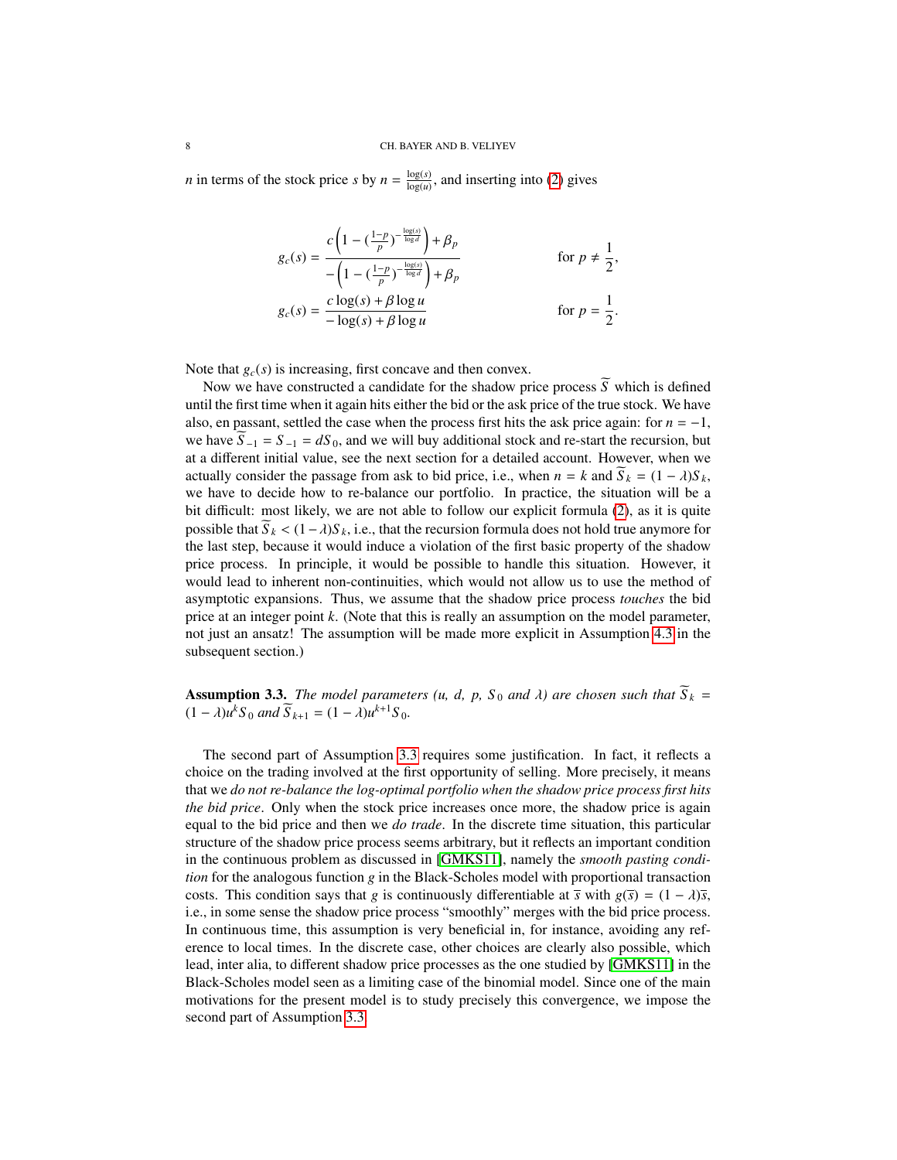*n* in terms of the stock price *s* by  $n = \frac{\log(s)}{\log(n)}$  $\frac{\log(s)}{\log(u)}$ , and inserting into [\(2\)](#page-6-1) gives

$$
g_c(s) = \frac{c\left(1 - \left(\frac{1-p}{p}\right)^{-\frac{\log(s)}{\log d}}\right) + \beta_p}{-\left(1 - \left(\frac{1-p}{p}\right)^{-\frac{\log(s)}{\log d}}\right) + \beta_p} \quad \text{for } p \neq \frac{1}{2},
$$
  

$$
g_c(s) = \frac{c\log(s) + \beta\log u}{-\log(s) + \beta\log u} \quad \text{for } p = \frac{1}{2}.
$$

Note that  $g_c(s)$  is increasing, first concave and then convex.

Now we have constructed a candidate for the shadow price process  $\tilde{S}$  which is defined until the first time when it again hits either the bid or the ask price of the true stock. We have also, en passant, settled the case when the process first hits the ask price again: for  $n = -1$ , we have  $\overline{S}_{-1} = S_{-1} = dS_0$ , and we will buy additional stock and re-start the recursion, but at a different initial value, see the next section for a detailed account. However, when we actually consider the passage from ask to bid price, i.e., when  $n = k$  and  $\widetilde{S}_k = (1 - \lambda)S_k$ , we have to decide how to re-balance our portfolio. In practice, the situation will be a bit difficult: most likely, we are not able to follow our explicit formula [\(2\)](#page-6-1), as it is quite possible that  $S_k < (1 - \lambda)S_k$ , i.e., that the recursion formula does not hold true anymore for the last step, because it would induce a violation of the first basic property of the shadow price process. In principle, it would be possible to handle this situation. However, it would lead to inherent non-continuities, which would not allow us to use the method of asymptotic expansions. Thus, we assume that the shadow price process *touches* the bid price at an integer point *k*. (Note that this is really an assumption on the model parameter, not just an ansatz! The assumption will be made more explicit in Assumption [4.3](#page-8-1) in the subsequent section.)

<span id="page-7-0"></span>**Assumption 3.3.** *The model parameters (u, d, p, S<sub>0</sub> and*  $\lambda$ *) are chosen such that*  $S_k = (1 - \lambda)u^kS_k$  and  $\tilde{S}_{k+1} = (1 - \lambda)u^{k+1}S_k$  $(1 - \lambda)u^k S_0$  *and*  $\overline{S}_{k+1} = (1 - \lambda)u^{k+1}S_0$ *.* 

The second part of Assumption [3.3](#page-7-0) requires some justification. In fact, it reflects a choice on the trading involved at the first opportunity of selling. More precisely, it means that we *do not re-balance the log-optimal portfolio when the shadow price process first hits the bid price*. Only when the stock price increases once more, the shadow price is again equal to the bid price and then we *do trade*. In the discrete time situation, this particular structure of the shadow price process seems arbitrary, but it reflects an important condition in the continuous problem as discussed in [\[GMKS11\]](#page-16-3), namely the *smooth pasting condition* for the analogous function *g* in the Black-Scholes model with proportional transaction costs. This condition says that *g* is continuously differentiable at  $\bar{s}$  with  $g(\bar{s}) = (1 - \lambda)\bar{s}$ , i.e., in some sense the shadow price process "smoothly" merges with the bid price process. In continuous time, this assumption is very beneficial in, for instance, avoiding any reference to local times. In the discrete case, other choices are clearly also possible, which lead, inter alia, to different shadow price processes as the one studied by [\[GMKS11\]](#page-16-3) in the Black-Scholes model seen as a limiting case of the binomial model. Since one of the main motivations for the present model is to study precisely this convergence, we impose the second part of Assumption [3.3.](#page-7-0)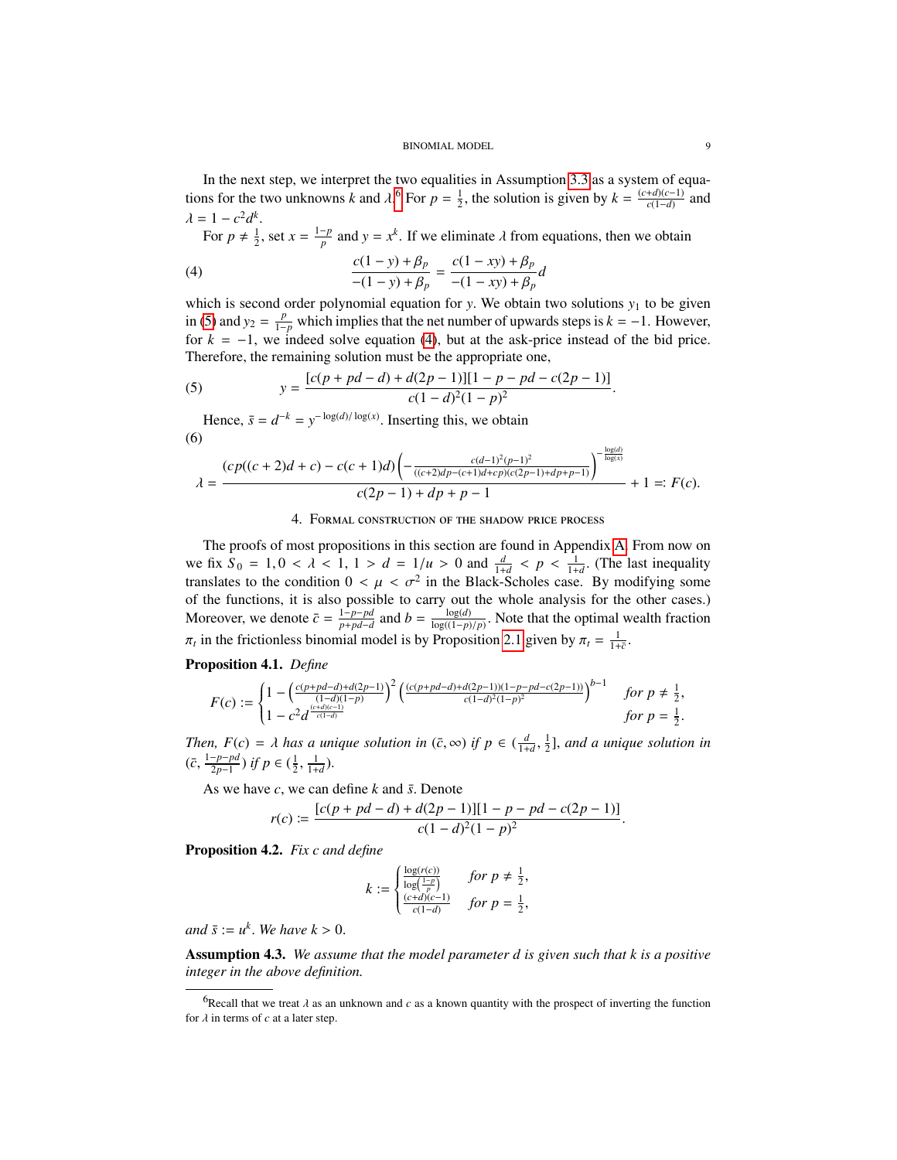#### <span id="page-8-4"></span>BINOMIAL MODEL 9

In the next step, we interpret the two equalities in Assumption [3.3](#page-7-0) as a system of equations for the two unknowns *k* and  $\lambda$ .<sup>[6](#page-8-2)</sup> For  $p = \frac{1}{2}$ , the solution is given by  $k = \frac{(c+d)(c-1)}{c(1-d)}$  $\frac{+a(c-1)}{c(1-d)}$  and  $\lambda = 1 - c^2 d^k$ 

For  $p \neq \frac{1}{2}$ , set  $x = \frac{1-p}{p}$  $\frac{p}{p}$  and  $y = x^k$ . If we eliminate  $\lambda$  from equations, then we obtain

(4) 
$$
\frac{c(1-y) + \beta_p}{-(1-y) + \beta_p} = \frac{c(1-xy) + \beta_p}{-(1-xy) + \beta_p}d
$$

which is second order polynomial equation for *y*. We obtain two solutions  $y_1$  to be given<br>in (5) and  $y_2 = \frac{p}{x}$  which implies that the net number of unwards steps is  $k = -1$ . However in [\(5\)](#page-8-3) and  $y_2 = \frac{p}{1-p}$  which implies that the net number of upwards steps is  $k = -1$ . However, for  $k = -1$ , we indeed solve equation [\(4\)](#page-8-4), but at the ask-price instead of the bid price. Therefore, the remaining solution must be the appropriate one,

<span id="page-8-3"></span>(5) 
$$
y = \frac{[c(p+pd-d)+d(2p-1)][1-p-pd-c(2p-1)]}{c(1-d)^2(1-p)^2}
$$

Hence,  $\bar{s} = d^{-k} = y^{-\log(d)/\log(x)}$ . Inserting this, we obtain (6)

<span id="page-8-5"></span>
$$
\lambda = \frac{(cp((c+2)d+c) - c(c+1)d) \left( -\frac{c(d-1)^2(p-1)^2}{((c+2)d p - (c+1)d + cp)(c(2p-1)+d p + p-1)} \right)^{-\frac{\log(d)}{\log(x)}}}{c(2p-1)+dp+p-1} + 1 =: F(c).
$$

## 4. Formal construction of the shadow price process

<span id="page-8-0"></span>The proofs of most propositions in this section are found in Appendix [A.](#page-17-9) From now on we fix  $S_0 = 1, 0 < \lambda < 1, 1 > d = 1/u > 0$  and  $\frac{d}{1+d} < p < \frac{1}{1+d}$ . (The last inequality translates to the condition  $0 < \mu < \sigma^2$  in the Black-Scholes case. By modifying some<br>of the functions, it is also possible to carry out the whole analysis for the other cases) of the functions, it is also possible to carry out the whole analysis for the other cases.) Moreover, we denote  $\bar{c} = \frac{1-p-pd}{p+nd-d}$  $\frac{1-p-pd}{p+pd-d}$  and  $b = \frac{\log(d)}{\log((1-p)/p)}$ . Note that the optimal wealth fraction  $\pi_t$  in the frictionless binomial model is by Proposition [2.1](#page-2-2) given by  $\pi_t = \frac{1}{1+\bar{c}}$ .

### <span id="page-8-7"></span>Proposition 4.1. *Define*

$$
F(c) := \begin{cases} 1 - \left(\frac{c(p + pd - d) + d(2p - 1)}{(1 - d)(1 - p)}\right)^2 \left(\frac{(c(p + pd - d) + d(2p - 1))(1 - p - pd - c(2p - 1))}{c(1 - d)^2(1 - p)^2}\right)^{b - 1} & \text{for } p \neq \frac{1}{2},\\ 1 - c^2 d^{\frac{(c + d)(c - 1)}{c(1 - d)}} & \text{for } p = \frac{1}{2}. \end{cases}
$$

*Then,*  $F(c) = \lambda$  *has a unique solution in*  $(\bar{c}, \infty)$  *if*  $p \in (\frac{d}{1+d}, \{c-1-p-pd\} \times c, \{c-1-1\} \times c)$  $\frac{1}{2}$ ], and a unique solution in  $(\bar{c}, \frac{1-p-pd}{2p-1})$  $\frac{-p-pd}{2p-1}$ ) *if*  $p \in (\frac{1}{2},)$  $\frac{1}{1+d}$ ).

As we have *<sup>c</sup>*, we can define *<sup>k</sup>* and ¯*s*. Denote

$$
r(c) \coloneqq \frac{[c(p+pd-d)+d(2p-1)][1-p-pd-c(2p-1)]}{c(1-d)^2(1-p)^2}
$$

<span id="page-8-6"></span>Proposition 4.2. *Fix c and define*

$$
k := \begin{cases} \frac{\log(r(c))}{\log(\frac{1-p}{p})} & \text{for } p \neq \frac{1}{2}, \\ \frac{(c+d)(c-1)}{c(1-d)} & \text{for } p = \frac{1}{2}, \end{cases}
$$

 $and \ \bar{s} := u^k$ . We have  $k > 0$ .

<span id="page-8-1"></span>Assumption 4.3. *We assume that the model parameter d is given such that k is a positive integer in the above definition.*

<span id="page-8-2"></span><sup>&</sup>lt;sup>6</sup>Recall that we treat  $\lambda$  as an unknown and  $c$  as a known quantity with the prospect of inverting the function for  $\lambda$  in terms of  $c$  at a later step.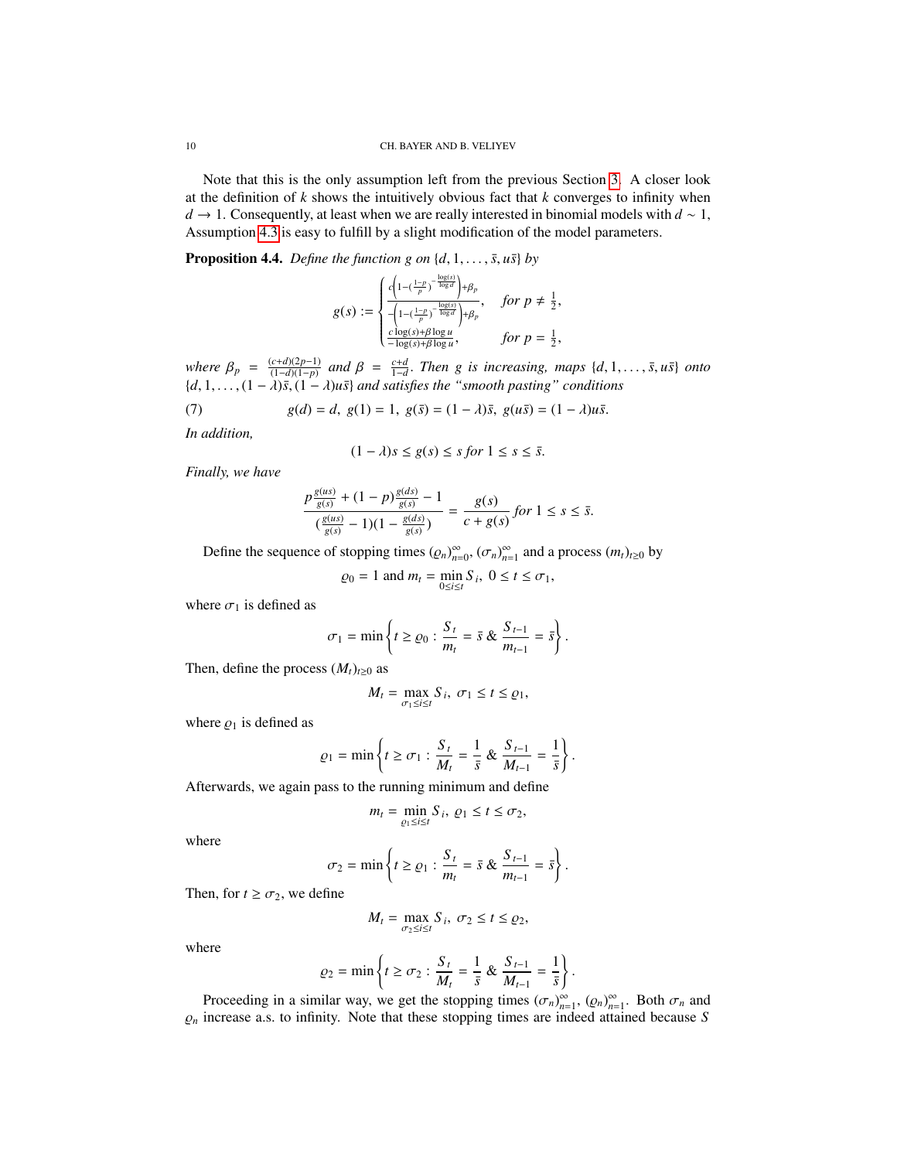Note that this is the only assumption left from the previous Section [3.](#page-4-2) A closer look at the definition of *k* shows the intuitively obvious fact that *k* converges to infinity when *d* → 1. Consequently, at least when we are really interested in binomial models with *d* ~ 1, Assumption [4.3](#page-8-1) is easy to fulfill by a slight modification of the model parameters.

<span id="page-9-0"></span>**Proposition 4.4.** *Define the function g on*  $\{d, 1, \ldots, \bar{s}, u\bar{s}\}$  *by* 

$$
g(s) := \begin{cases} \frac{c\left(1-(\frac{1-p}{p})^{-\frac{\log(s)}{\log d}}\right) + \beta_p}{\left(-1-(\frac{1-p}{p})^{-\frac{\log(s)}{\log d}}\right) + \beta_p}, & \text{for } p \neq \frac{1}{2},\\ \frac{c\log(s) + \beta \log u}{-\log(s) + \beta \log u}, & \text{for } p = \frac{1}{2}, \end{cases}
$$

*where*  $\beta_p = \frac{(c+d)(2p-1)}{(1-d)(1-p)}$  $\frac{(c+d)(2p-1)}{(1-d)(1-p)}$  and  $\beta = \frac{c+d}{1-d}$ . Then g is increasing, maps  $\{d, 1, \ldots, \bar{s}, u\bar{s}\}$  onto  ${d, 1, ..., (1 - \lambda)\bar{s}, (1 - \lambda)u\bar{s}}$  *and satisfies the "smooth pasting" conditions* 

(7) 
$$
g(d) = d, g(1) = 1, g(\bar{s}) = (1 - \lambda)\bar{s}, g(u\bar{s}) = (1 - \lambda)u\bar{s}.
$$

*In addition,*

$$
(1 - \lambda)s \le g(s) \le s \text{ for } 1 \le s \le \bar{s}.
$$

*Finally, we have*

$$
\frac{p\frac{g(as)}{g(s)} + (1-p)\frac{g(ds)}{g(s)} - 1}{(\frac{g(us)}{g(s)} - 1)(1 - \frac{g(ds)}{g(s)})} = \frac{g(s)}{c + g(s)} \text{ for } 1 \le s \le \bar{s}.
$$

Define the sequence of stopping times  $(\varrho_n)_{n=0}^{\infty}, (\sigma_n)_{n=1}^{\infty}$  and a process  $(m_t)_{t\geq0}$  by

$$
\varrho_0 = 1 \text{ and } m_t = \min_{0 \le i \le t} S_i, \ 0 \le t \le \sigma_1,
$$

where  $\sigma_1$  is defined as

$$
\sigma_1 = \min \left\{ t \ge \varrho_0 : \frac{S_t}{m_t} = \bar{s} \& \frac{S_{t-1}}{m_{t-1}} = \bar{s} \right\}.
$$

Then, define the process  $(M_t)_{t\geq0}$  as

$$
M_t = \max_{\sigma_1 \leq i \leq t} S_i, \ \sigma_1 \leq t \leq \varrho_1,
$$

where  $\varrho_1$  is defined as

$$
\varrho_1 = \min \left\{ t \ge \sigma_1 : \frac{S_t}{M_t} = \frac{1}{\bar{s}} \& \frac{S_{t-1}}{M_{t-1}} = \frac{1}{\bar{s}} \right\}
$$

Afterwards, we again pass to the running minimum and define

$$
m_t = \min_{\varrho_1 \leq i \leq t} S_i, \, \varrho_1 \leq t \leq \sigma_2,
$$

where

$$
\sigma_2 = \min \left\{ t \ge \varrho_1 : \frac{S_t}{m_t} = \bar{s} \& \frac{S_{t-1}}{m_{t-1}} = \bar{s} \right\}.
$$

Then, for  $t \geq \sigma_2$ , we define

$$
M_t = \max_{\sigma_2 \leq i \leq t} S_i, \ \sigma_2 \leq t \leq \varrho_2,
$$

where

$$
\varrho_2 = \min \left\{ t \ge \sigma_2 : \frac{S_t}{M_t} = \frac{1}{\bar{s}} \& \frac{S_{t-1}}{M_{t-1}} = \frac{1}{\bar{s}} \right\}.
$$

Proceeding in a similar way, we get the stopping times  $(\sigma_n)_{n=1}^{\infty}$ ,  $(\rho_n)_{n=1}^{\infty}$ . Both  $\sigma_n$  and increase a s to infinity. Note that these stopping times are indeed attained because S  $\varrho_n$  increase a.s. to infinity. Note that these stopping times are indeed attained because *S*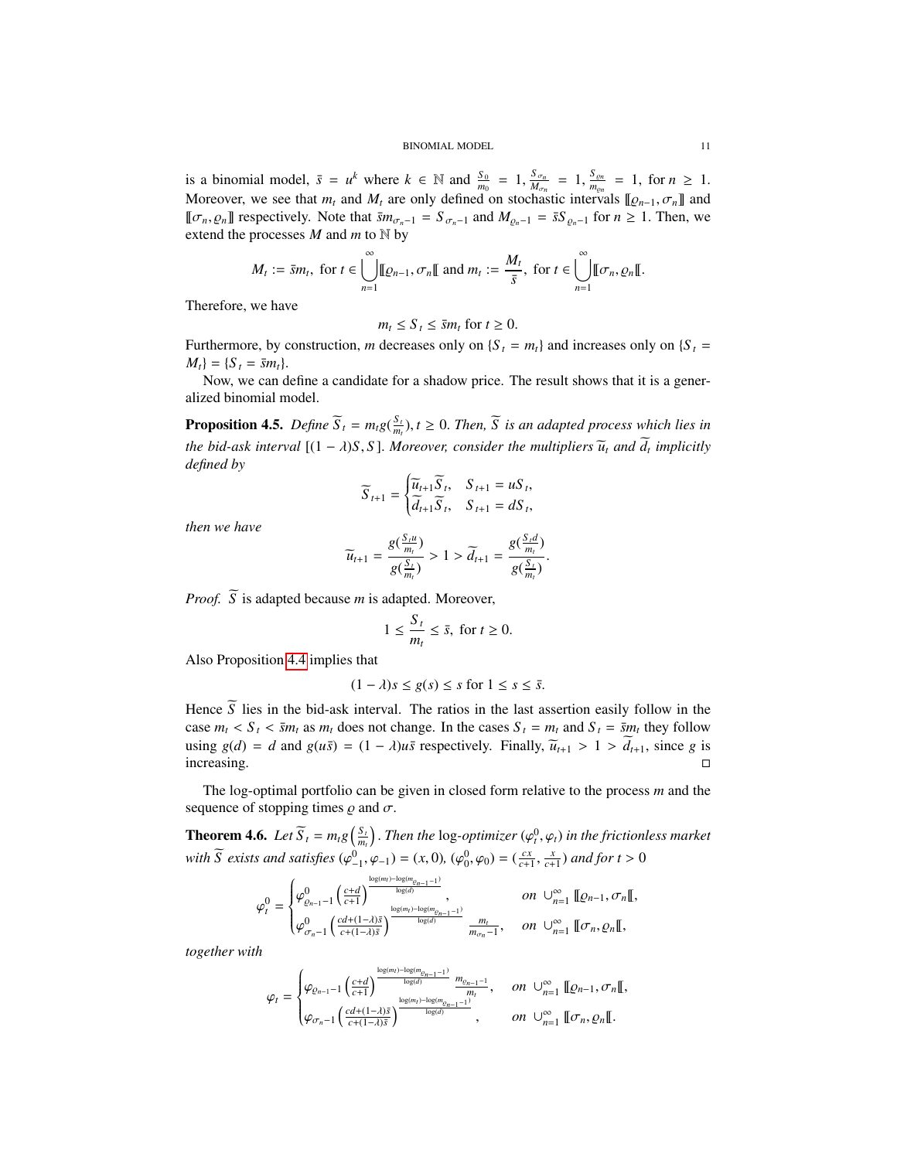is a binomial model,  $\bar{s} = u^k$  where  $k \in \mathbb{N}$  and  $\frac{S_0}{M_{\text{on}}} = 1, \frac{S_{\sigma n}}{M_{\text{on}}}$ <br>Mergevier, we see that *m* and *M* erg only defined on stacks  $\frac{S_{\sigma_n}}{M_{\sigma_n}} = 1, \frac{S_{\varrho_n}}{m_{\varrho_n}}$  $\frac{\delta \varrho_n}{m_{\varrho_n}} = 1$ , for  $n \geq 1$ . Moreover, we see that  $m_t$  and  $M_t$  are only defined on stochastic intervals  $[\![\varrho_{n-1}, \sigma_n]\!]$  and  $[\![\pi] \cap \varrho_{n}]$  and  $[\![\pi] \cap \varrho_{n}]$  and  $[\![\varrho_{n-1}, \sigma_{n}]$  and  $[\![\varrho_{n-1}, \sigma_{n}]$  and  $[\![\varrho_{n-1}, \sigma_{n}]$  and  $[\![\varrho_{n-1}, \sigma_{n}]$  $[ [σ<sub>n</sub>, ρ<sub>n</sub>]$  respectively. Note that  $\bar{s}m_{σ_n-1} = S_{σ_n-1}$  and  $M_{ρ_n-1} = \bar{s}S_{ρ_n-1}$  for  $n ≥ 1$ . Then, we extend the processes *M* and *m* to N by

$$
M_t := \bar{s}m_t, \text{ for } t \in \bigcup_{n=1}^{\infty} [I\!\!R_{n-1}, \sigma_n[]\!\!I] \text{ and } m_t := \frac{M_t}{\bar{s}}, \text{ for } t \in \bigcup_{n=1}^{\infty} [[\sigma_n, \rho_n[]\!\!I].
$$

Therefore, we have

$$
n_t \leq S_t \leq \bar{s}m_t \text{ for } t \geq 0.
$$

 $m_t \leq S_t \leq \bar{s}m_t$  for  $t \geq 0$ .<br>Furthermore, by construction, *m* decreases only on {*S*<sub>*t*</sub> =  $m_t$ } and increases only on {*S*<sub>*t*</sub> =  $M_t$ } = {*S*<sub>*t*</sub> = *sm*<sub>t</sub>}.

Now, we can define a candidate for a shadow price. The result shows that it is a generalized binomial model.

<span id="page-10-0"></span>**Proposition 4.5.** *Define*  $\overline{S}_t = m_t g(\frac{S_t}{m_t}), t \ge 0$ . *Then*,  $\overline{S}$  *is an adapted process which lies in the bid-ask interval*  $[(1 - \lambda)S, S]$ *. Moreover, consider the multipliers*  $\widetilde{u}_t$  *and*  $\widetilde{d}_t$  *implicitly*<br>*defined* by *defined by*

$$
\widetilde{S}_{t+1} = \begin{cases} \widetilde{u}_{t+1} \widetilde{S}_t, & S_{t+1} = u S_t, \\ \widetilde{d}_{t+1} \widetilde{S}_t, & S_{t+1} = d S_t, \end{cases}
$$

*then we have*

$$
\widetilde{u}_{t+1} = \frac{g(\frac{S_t u}{m_t})}{g(\frac{S_t}{m_t})} > 1 > \widetilde{d}_{t+1} = \frac{g(\frac{S_t d}{m_t})}{g(\frac{S_t}{m_t})}.
$$

*Proof.*  $\widetilde{S}$  is adapted because *m* is adapted. Moreover,

$$
1 \le \frac{S_t}{m_t} \le \bar{s}, \text{ for } t \ge 0.
$$

Also Proposition [4.4](#page-9-0) implies that

$$
(1 - \lambda)s \le g(s) \le s \text{ for } 1 \le s \le \bar{s}.
$$

Hence *S* lies in the bid-ask interval. The ratios in the last assertion easily follow in the  $\frac{1}{2}$ case  $m_t < S_t < \bar{s}m_t$  as  $m_t$  does not change. In the cases  $S_t = m_t$  and  $S_t = \bar{s}m_t$  they follow using *g*(*d*) = *d* and *g*(*us*̄) = (1 − *λ*)*us*̄ respectively. Finally,  $\tilde{u}_{t+1} > 1 > \tilde{d}_{t+1}$ , since *g* is increasing.  $\Box$ increasing.

The log-optimal portfolio can be given in closed form relative to the process *m* and the sequence of stopping times  $\rho$  and  $\sigma$ .

<span id="page-10-1"></span>**Theorem 4.6.** *Let*  $\overline{S}_t = m_t g\left(\frac{S_t}{m_t}\right)$ . *Then the* log-*optimizer* ( $\varphi_t^0, \varphi_t$ ) in the frictionless market *with*  $\widetilde{S}$  *exists and satisfies*  $(\varphi_{-1}^0, \varphi_{-1}) = (x, 0), (\varphi_0^0, \varphi_0) = (\frac{cx}{c+1},$  $\frac{x}{c+1}$ ) *and for*  $t > 0$ 

$$
\varphi_t^0 = \begin{cases} \varphi_{\varrho_{n-1}-1}^0\left(\frac{c+d}{c+1}\right)^{\frac{\log(m_t)-\log(m_{\varrho_{n-1}-1})}{\log(d)}}, & \text{on } \cup_{n=1}^{\infty} \llbracket \varrho_{n-1}, \sigma_n \rrbracket, \\ \varphi_{\sigma_n-1}^0\left(\frac{cd+(1-\lambda)\bar{s}}{c+(1-\lambda)\bar{s}}\right)^{\frac{\log(m_t)-\log(m_{\varrho_{n-1}-1})}{\log(d)}} \frac{m_t}{m_{\sigma_n}-1}, & \text{on } \cup_{n=1}^{\infty} \llbracket \sigma_n, \varrho_n \rrbracket, \end{cases}
$$

*together with*

$$
\varphi_t = \begin{cases} \varphi_{\varrho_{n-1}-1} \left( \frac{c+d}{c+1} \right)^{\frac{\log(m_t)-\log(m_{\varrho_{n-1}-1})}{\log(d)}} \frac{m_{\varrho_{n-1}-1}}{m_t}, & on \cup_{n=1}^{\infty} \llbracket \varrho_{n-1}, \sigma_n \rrbracket, \\ \varphi_{\sigma_n-1} \left( \frac{cd+(1-\lambda)\bar{s}}{c+(1-\lambda)\bar{s}} \right)^{\frac{\log(m_t)-\log(m_{\varrho_{n-1}-1})}{\log(d)}}, & on \cup_{n=1}^{\infty} \llbracket \sigma_n, \varrho_n \rrbracket. \end{cases}
$$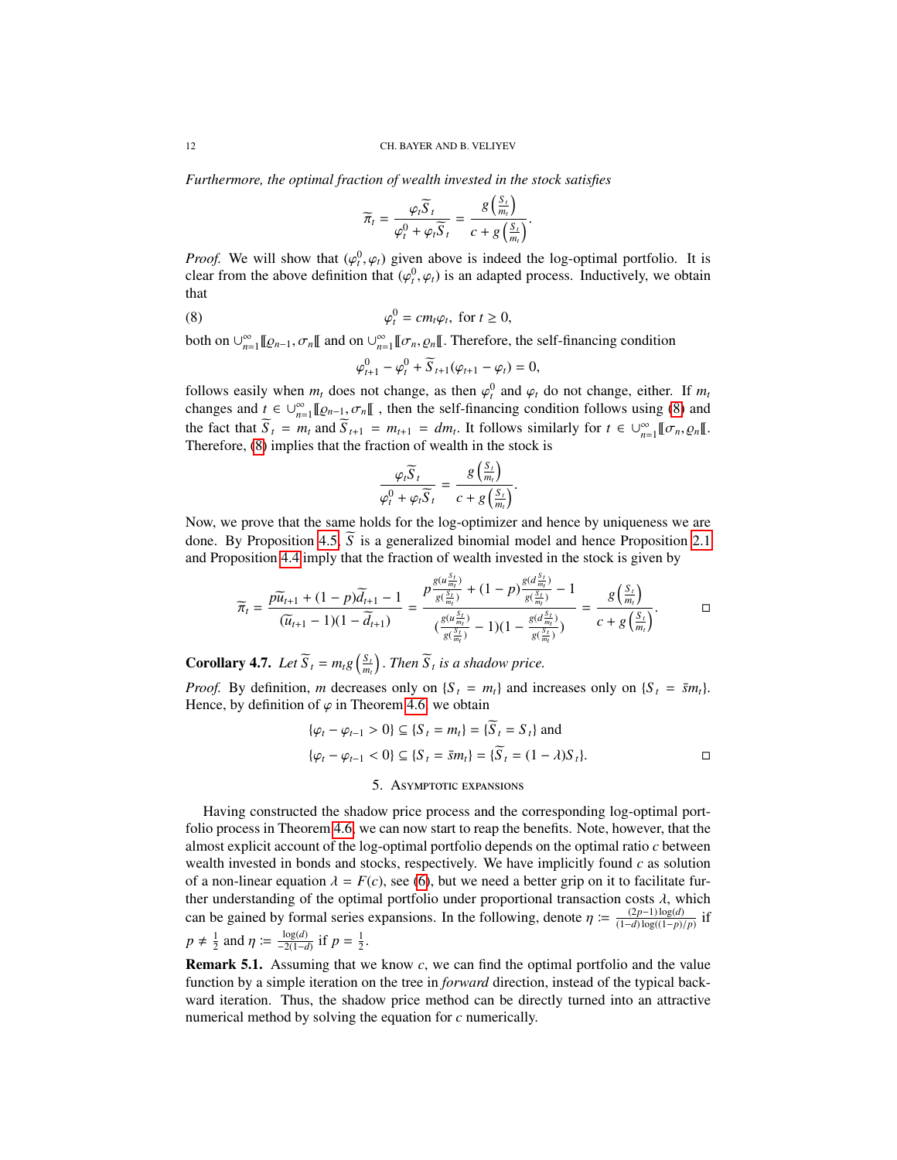*Furthermore, the optimal fraction of wealth invested in the stock satisfies*

$$
\widetilde{\pi}_t = \frac{\varphi_t \widetilde{S}_t}{\varphi_t^0 + \varphi_t \widetilde{S}_t} = \frac{g\left(\frac{S_t}{m_t}\right)}{c + g\left(\frac{S_t}{m_t}\right)}.
$$

*Proof.* We will show that  $(\varphi_i^0, \varphi_i)$  given above is indeed the log-optimal portfolio. It is clear from the above definition that  $(\varphi_i^0, \varphi_i)$  is an adapted process. Inductively, we obtain clear from the above definition that  $(\varphi_t^0, \varphi_t)$  is an adapted process. Inductively, we obtain that that

(8) 
$$
\varphi_t^0 = cm_t \varphi_t, \text{ for } t \ge 0,
$$

both on  $\bigcup_{n=1}^{\infty} [[\varrho_{n-1}, \sigma_n[[$  and on  $\bigcup_{n=1}^{\infty} [[\sigma_n, \varrho_n[[$ . Therefore, the self-financing condition

<span id="page-11-0"></span>
$$
\varphi_{t+1}^0 - \varphi_t^0 + \widetilde{S}_{t+1}(\varphi_{t+1} - \varphi_t) = 0,
$$

follows easily when  $m_t$  does not change, as then  $\varphi_t^0$  and  $\varphi_t$  do not change, either. If  $m_t$  changes and  $t \in \mathbb{R}^{\infty}$   $\mathbb{R}^{\infty}$  and  $\mathbb{R}^{\infty}$  and  $t \in \mathbb{R}^{\infty}$  and  $\mathbb{R}^{\infty}$  and  $t \in \mathbb{R}^{\infty}$ changes and  $t \in \bigcup_{n=1}^{\infty} [\![\varrho_{n-1}, \sigma_n[\![\!]$ , then the self-financing condition follows using [\(8\)](#page-11-0) and the feat that  $\widetilde{S} = m$  and  $\widetilde{S} = m$ , and  $\widetilde{S} = m$ , and  $\widetilde{S} = m$ the fact that  $\widetilde{S}_t = m_t$  and  $\widetilde{S}_{t+1} = m_{t+1} = dm_t$ . It follows similarly for  $t \in \bigcup_{n=1}^{\infty} [\![\sigma_n, \varrho_n[\![\cdot]\!]$ .<br>Therefore (8) implies that the fraction of wealth in the stock is Therefore, [\(8\)](#page-11-0) implies that the fraction of wealth in the stock is

$$
\frac{\varphi_t \widetilde{S}_t}{\varphi_t^0 + \varphi_t \widetilde{S}_t} = \frac{g\left(\frac{S_t}{m_t}\right)}{c + g\left(\frac{S_t}{m_t}\right)}.
$$

Now, we prove that the same holds for the log-optimizer and hence by uniqueness we are done. By Proposition [4.5,](#page-10-0)  $\widetilde{S}$  is a generalized binomial model and hence Proposition [2.1](#page-2-2) and Proposition [4.4](#page-9-0) imply that the fraction of wealth invested in the stock is given by

$$
\widetilde{\pi}_t = \frac{p\widetilde{u}_{t+1} + (1-p)\widetilde{d}_{t+1} - 1}{(\widetilde{u}_{t+1} - 1)(1 - \widetilde{d}_{t+1})} = \frac{p\frac{g(a\frac{S_t}{m_t})}{g(\frac{S_t}{m_t})} + (1-p)\frac{g(a\frac{S_t}{m_t})}{g(\frac{S_t}{m_t})} - 1}{(\frac{g(a\frac{S_t}{m_t})}{g(\frac{S_t}{m_t})} - 1)(1 - \frac{g(d\frac{S_t}{m_t})}{g(\frac{S_t}{m_t})})} = \frac{g\left(\frac{S_t}{m_t}\right)}{c + g\left(\frac{S_t}{m_t}\right)}.
$$

**Corollary 4.7.** *Let*  $\widetilde{S}_t = m_t g\left(\frac{S_t}{m_t}\right)$ . *Then*  $\widetilde{S}_t$  *is a shadow price.* 

*Proof.* By definition, *m* decreases only on  ${S_t = m_t}$  and increases only on  ${S_t = \bar{s}m_t}$ . Hence, by definition of  $\varphi$  in Theorem [4.6,](#page-10-1) we obtain

$$
\{\varphi_t - \varphi_{t-1} > 0\} \subseteq \{S_t = m_t\} = \{\overline{S}_t = S_t\} \text{ and}
$$
  

$$
\{\varphi_t - \varphi_{t-1} < 0\} \subseteq \{S_t = \overline{s}m_t\} = \{\overline{S}_t = (1 - \lambda)S_t\}.
$$

#### 5. Asymptotic expansions

Having constructed the shadow price process and the corresponding log-optimal portfolio process in Theorem [4.6,](#page-10-1) we can now start to reap the benefits. Note, however, that the almost explicit account of the log-optimal portfolio depends on the optimal ratio *c* between wealth invested in bonds and stocks, respectively. We have implicitly found *c* as solution of a non-linear equation  $\lambda = F(c)$ , see [\(6\)](#page-8-5), but we need a better grip on it to facilitate further understanding of the optimal portfolio under proportional transaction costs  $\lambda$ , which can be gained by formal series expansions. In the following, denote  $\eta := \frac{(2p-1)\log(d)}{(1-d)\log((1-p))}$  $\frac{(2p-1)\log(a)}{(1-d)\log((1-p)/p)}$  if  $p \neq \frac{1}{2}$  and  $\eta := \frac{\log(d)}{-2(1-d)}$  if  $p = \frac{1}{2}$ .

Remark 5.1. Assuming that we know *c*, we can find the optimal portfolio and the value function by a simple iteration on the tree in *forward* direction, instead of the typical backward iteration. Thus, the shadow price method can be directly turned into an attractive numerical method by solving the equation for *c* numerically.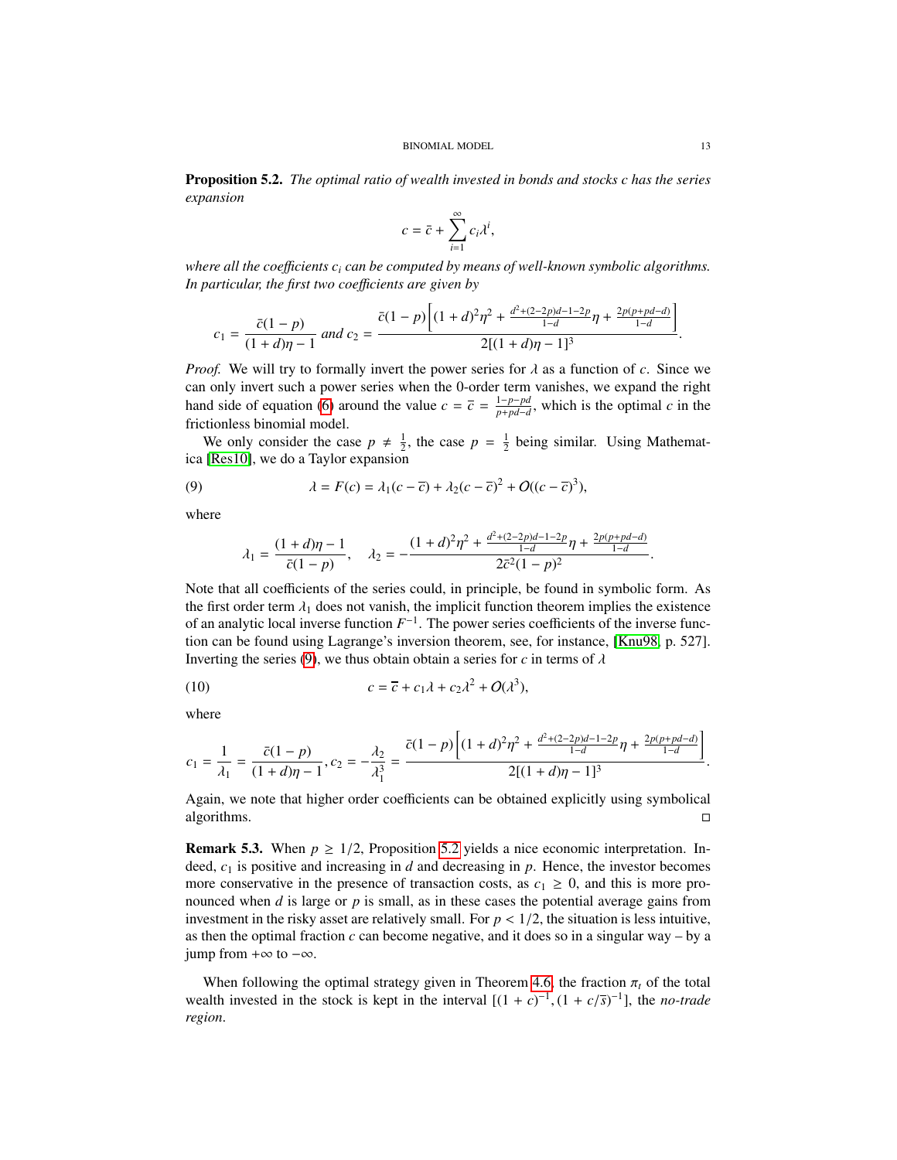<span id="page-12-1"></span>Proposition 5.2. *The optimal ratio of wealth invested in bonds and stocks c has the series expansion*

$$
c = \bar{c} + \sum_{i=1}^{\infty} c_i \lambda^i,
$$

*where all the coe*ffi*cients c<sup>i</sup> can be computed by means of well-known symbolic algorithms. In particular, the first two coe*ffi*cients are given by*

$$
c_1 = \frac{\bar{c}(1-p)}{(1+d)\eta - 1} \text{ and } c_2 = \frac{\bar{c}(1-p)\left[(1+d)^2\eta^2 + \frac{d^2 + (2-2p)d - 1 - 2p}{1-d}\eta + \frac{2p(p+pd-d)}{1-d}\right]}{2[(1+d)\eta - 1]^3}
$$

*Proof.* We will try to formally invert the power series for  $\lambda$  as a function of  $c$ . Since we can only invert such a power series when the 0-order term vanishes, we expand the right hand side of equation [\(6\)](#page-8-5) around the value  $c = \overline{c} = \frac{1-p-pd}{p+p d-d}$  $\frac{p-p}{p+p d-d}$ , which is the optimal *c* in the frictionless binomial model.

We only consider the case  $p \neq \frac{1}{2}$ , the case  $p = \frac{1}{2}$  being similar. Using Mathemat-<br>[Bes10] we do a Taylor expansion ica [\[Res10\]](#page-17-10), we do a Taylor expansion

(9) 
$$
\lambda = F(c) = \lambda_1(c - \overline{c}) + \lambda_2(c - \overline{c})^2 + O((c - \overline{c})^3),
$$

where

<span id="page-12-0"></span>
$$
\lambda_1 = \frac{(1+d)\eta - 1}{\bar{c}(1-p)}, \quad \lambda_2 = -\frac{(1+d)^2\eta^2 + \frac{d^2 + (2-2p)d - 1 - 2p}{1-d}\eta + \frac{2p(p+pd-d)}{1-d}}{2\bar{c}^2(1-p)^2}
$$

Note that all coefficients of the series could, in principle, be found in symbolic form. As the first order term  $\lambda_1$  does not vanish, the implicit function theorem implies the existence of an analytic local inverse function  $F^{-1}$ . The power series coefficients of the inverse function can be found using Lagrange's inversion theorem, see, for instance, [\[Knu98,](#page-17-11) p. 527]. Inverting the series [\(9\)](#page-12-0), we thus obtain obtain a series for *c* in terms of  $\lambda$ 

(10) 
$$
c = \overline{c} + c_1 \lambda + c_2 \lambda^2 + O(\lambda^3),
$$

where

$$
c_1 = \frac{1}{\lambda_1} = \frac{\bar{c}(1-p)}{(1+d)\eta - 1}, c_2 = -\frac{\lambda_2}{\lambda_1^3} = \frac{\bar{c}(1-p)\left[(1+d)^2\eta^2 + \frac{d^2 + (2-2p)d - 1 - 2p}{1-d}\eta + \frac{2p(p+pd-d)}{1-d}\right]}{2[(1+d)\eta - 1]^3}
$$

Again, we note that higher order coefficients can be obtained explicitly using symbolical  $\Box$ algorithms.

**Remark 5.3.** When  $p \ge 1/2$ , Proposition [5.2](#page-12-1) yields a nice economic interpretation. Indeed,  $c_1$  is positive and increasing in *d* and decreasing in *p*. Hence, the investor becomes more conservative in the presence of transaction costs, as  $c_1 \geq 0$ , and this is more pronounced when *d* is large or *p* is small, as in these cases the potential average gains from investment in the risky asset are relatively small. For  $p < 1/2$ , the situation is less intuitive, as then the optimal fraction *c* can become negative, and it does so in a singular way – by a jump from  $+\infty$  to  $-\infty$ .

When following the optimal strategy given in Theorem [4.6,](#page-10-1) the fraction  $\pi_t$  of the total wealth invested in the stock is kept in the interval  $[(1 + c)^{-1}, (1 + c/\overline{s})^{-1}]$ , the *no-trade region*.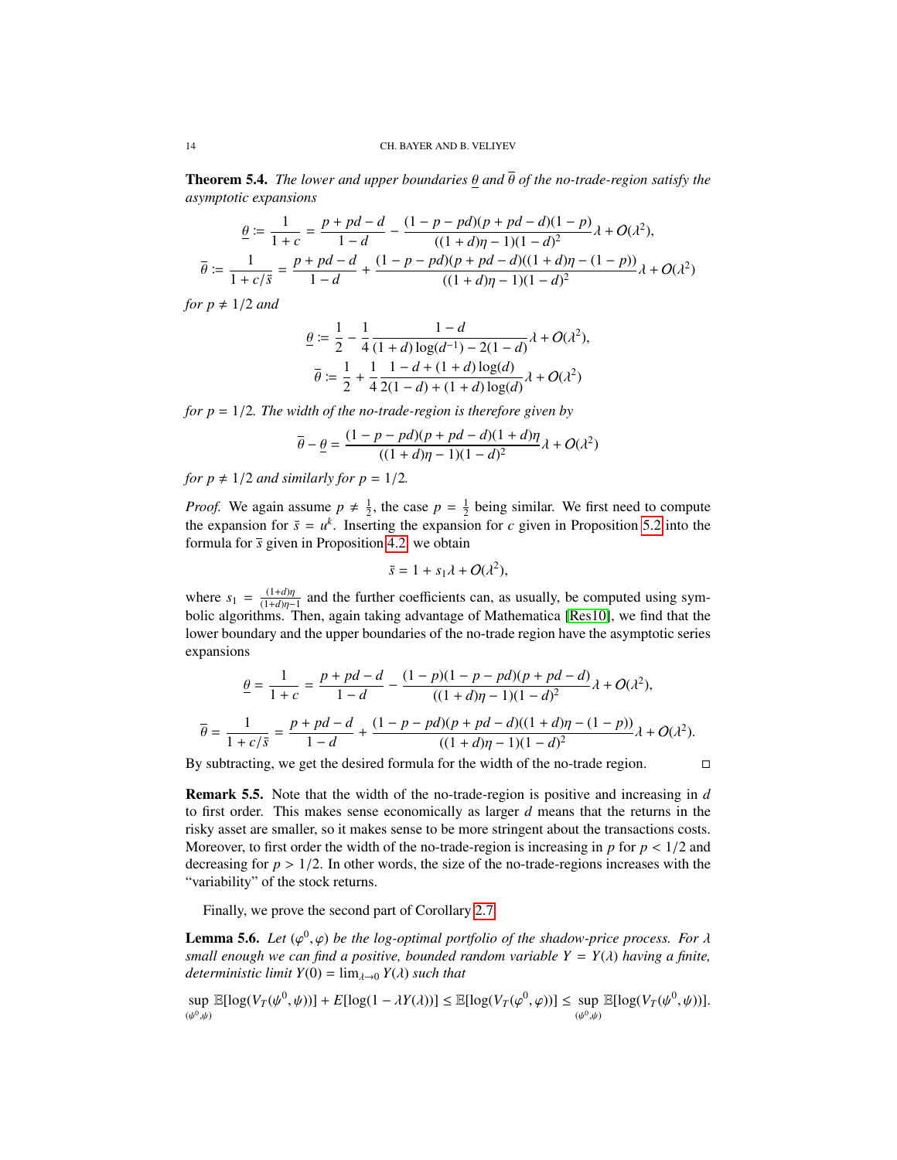Theorem 5.4. *The lower and upper boundaries* θ *and* θ *of the no-trade-region satisfy the asymptotic expansions*

$$
\frac{\theta}{\theta} := \frac{1}{1+c} = \frac{p+pd-d}{1-d} - \frac{(1-p-pd)(p+pd-d)(1-p)}{((1+d)\eta-1)(1-d)^2} \lambda + O(\lambda^2),
$$
  

$$
\overline{\theta} := \frac{1}{1+c/\overline{s}} = \frac{p+pd-d}{1-d} + \frac{(1-p-pd)(p+pd-d)((1+d)\eta-(1-p))}{((1+d)\eta-1)(1-d)^2} \lambda + O(\lambda^2)
$$

*for*  $p \neq 1/2$  *and* 

$$
\begin{aligned} \n\theta &:= \frac{1}{2} - \frac{1}{4} \frac{1 - d}{(1 + d) \log(d^{-1}) - 2(1 - d)} \lambda + O(\lambda^2), \\ \n\overline{\theta} &:= \frac{1}{2} + \frac{1}{4} \frac{1 - d + (1 + d) \log(d)}{2(1 - d) + (1 + d) \log(d)} \lambda + O(\lambda^2) \n\end{aligned}
$$

*for p* <sup>=</sup> <sup>1</sup>/2*. The width of the no-trade-region is therefore given by*

$$
\overline{\theta} - \underline{\theta} = \frac{(1 - p - pd)(p + pd - d)(1 + d)\eta}{((1 + d)\eta - 1)(1 - d)^2} \lambda + O(\lambda^2)
$$

*for p*  $\neq$  1/2 *and similarly for p* = 1/2*.* 

*Proof.* We again assume  $p \neq \frac{1}{2}$ , the case  $p = \frac{1}{2}$  being similar. We first need to compute the expansion for  $\bar{z}$  =  $v^k$ . Inserting the expansion for e-given in Proposition 5.2 into the the expansion for  $\bar{s} = u^k$ . Inserting the expansion for *c* given in Proposition [5.2](#page-12-1) into the formula for  $\bar{s}$  given in Proposition [4.2,](#page-8-6) we obtain

$$
\bar{s} = 1 + s_1 \lambda + O(\lambda^2),
$$

where  $s_1 = \frac{(1+d)\eta}{(1+d)\eta-1}$  and the further coefficients can, as usually, be computed using sym-<br>holic algorithms. Then again taking advantage of Mathematica [Res10], we find that the bolic algorithms. Then, again taking advantage of Mathematica [\[Res10\]](#page-17-10), we find that the lower boundary and the upper boundaries of the no-trade region have the asymptotic series expansions

$$
\frac{\theta}{\theta} = \frac{1}{1+c} = \frac{p+pd-d}{1-d} - \frac{(1-p)(1-p-pd)(p+pd-d)}{((1+d)\eta-1)(1-d)^2} \lambda + O(\lambda^2),
$$
  

$$
\overline{\theta} = \frac{1}{1+c/\overline{s}} = \frac{p+pd-d}{1-d} + \frac{(1-p-pd)(p+pd-d)((1+d)\eta-(1-p))}{((1+d)\eta-1)(1-d)^2} \lambda + O(\lambda^2).
$$
 By subtracting, we get the desired formula for the width of the no-trade region.

Remark 5.5. Note that the width of the no-trade-region is positive and increasing in *d* to first order. This makes sense economically as larger *d* means that the returns in the risky asset are smaller, so it makes sense to be more stringent about the transactions costs. Moreover, to first order the width of the no-trade-region is increasing in  $p$  for  $p < 1/2$  and decreasing for  $p > 1/2$ . In other words, the size of the no-trade-regions increases with the "variability" of the stock returns.

Finally, we prove the second part of Corollary [2.7.](#page-4-0)

<span id="page-13-0"></span>**Lemma 5.6.** *Let*  $(\varphi^0, \varphi)$  *be the log-optimal portfolio of the shadow-price process. For*  $\lambda$  small enough we can find a positive, bounded random variable  $Y = Y(\lambda)$  having a finite *small enough we can find a positive, bounded random variable*  $Y = Y(\lambda)$  *having a finite, deterministic limit*  $Y(0) = \lim_{\lambda \to 0} Y(\lambda)$  *such that* 

$$
\sup_{(\psi^0,\psi)} \mathbb{E}[\log(V_T(\psi^0,\psi))] + E[\log(1 - \lambda Y(\lambda))] \leq \mathbb{E}[\log(V_T(\varphi^0,\varphi))] \leq \sup_{(\psi^0,\psi)} \mathbb{E}[\log(V_T(\psi^0,\psi))].
$$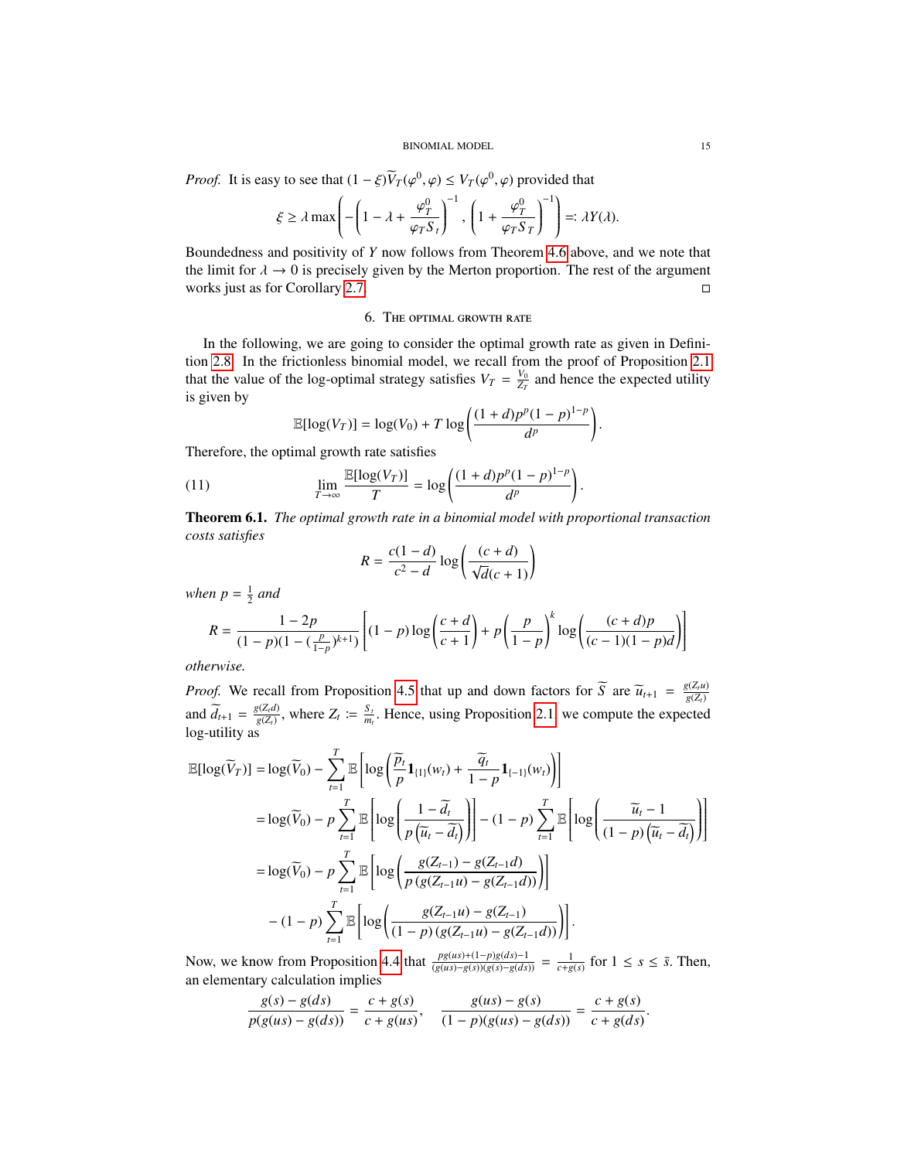#### BINOMIAL MODEL 15

*Proof.* It is easy to see that  $(1 - \xi)\overline{V}_T(\varphi^0, \varphi) \le V_T(\varphi^0, \varphi)$  provided that

$$
\xi \ge \lambda \max \left( -\left(1 - \lambda + \frac{\varphi_T^0}{\varphi_T S_t}\right)^{-1}, \left(1 + \frac{\varphi_T^0}{\varphi_T S_T}\right)^{-1} \right) =: \lambda Y(\lambda).
$$

Boundedness and positivity of *Y* now follows from Theorem [4.6](#page-10-1) above, and we note that the limit for  $\lambda \to 0$  is precisely given by the Merton proportion. The rest of the argument works just as for Corollary 2.7. works just as for Corollary [2.7.](#page-4-0)

### 6. The optimal growth rate

In the following, we are going to consider the optimal growth rate as given in Definition [2.8.](#page-4-3) In the frictionless binomial model, we recall from the proof of Proposition [2.1](#page-2-2) that the value of the log-optimal strategy satisfies  $V_T = \frac{V_0}{Z_T}$  and hence the expected utility is given by

$$
\mathbb{E}[\log(V_T)] = \log(V_0) + T \log\left(\frac{(1+d)p^p(1-p)^{1-p}}{d^p}\right).
$$

Therefore, the optimal growth rate satisfies

(11) 
$$
\lim_{T \to \infty} \frac{\mathbb{E}[\log(V_T)]}{T} = \log \left( \frac{(1+d)p^p(1-p)^{1-p}}{d^p} \right).
$$

Theorem 6.1. *The optimal growth rate in a binomial model with proportional transaction costs satisfies*

$$
R = \frac{c(1-d)}{c^2 - d} \log \left( \frac{(c+d)}{\sqrt{d}(c+1)} \right)
$$

*when*  $p = \frac{1}{2}$  *and* 

$$
R = \frac{1 - 2p}{(1 - p)(1 - (\frac{p}{1 - p})^{k + 1})} \left[ (1 - p) \log \left( \frac{c + d}{c + 1} \right) + p \left( \frac{p}{1 - p} \right)^k \log \left( \frac{(c + d)p}{(c - 1)(1 - p)d} \right) \right]
$$

*otherwise.*

*Proof.* We recall from Proposition [4.5](#page-10-0) that up and down factors for *S* are  $\widetilde{u}_{t+1} = \frac{g(Z_t)u}{g(Z_t)}$ *Proof.* We recall from Proposition 4.5 that up and down factors for  $\widetilde{S}$  are  $\widetilde{u}_{t+1} = \frac{g(Z_t u)}{g(Z_t)}$ and  $\widetilde{d}_{t+1} = \frac{g(Z_t d)}{g(Z_t)}$ and  $\widetilde{d}_{t+1} = \frac{g(Z_t d)}{g(Z_t)}$ , where  $Z_t := \frac{S_t}{m_t}$ . Hence, using Proposition [2.1,](#page-2-2) we compute the expected log-utility as

$$
\mathbb{E}[\log(\widetilde{V}_{T})] = \log(\widetilde{V}_{0}) - \sum_{t=1}^{T} \mathbb{E}\left[\log\left(\frac{\widetilde{p}_{t}}{p}\mathbf{1}_{\{1\}}(w_{t}) + \frac{\widetilde{q}_{t}}{1-p}\mathbf{1}_{\{-1\}}(w_{t})\right)\right]
$$
\n
$$
= \log(\widetilde{V}_{0}) - p \sum_{t=1}^{T} \mathbb{E}\left[\log\left(\frac{1-\widetilde{d}_{t}}{p\left(\widetilde{u}_{t}-\widetilde{d}_{t}\right)}\right)\right] - (1-p) \sum_{t=1}^{T} \mathbb{E}\left[\log\left(\frac{\widetilde{u}_{t}-1}{(1-p)\left(\widetilde{u}_{t}-\widetilde{d}_{t}\right)}\right)\right]
$$
\n
$$
= \log(\widetilde{V}_{0}) - p \sum_{t=1}^{T} \mathbb{E}\left[\log\left(\frac{g(Z_{t-1}) - g(Z_{t-1}d)}{p\left(g(Z_{t-1}u) - g(Z_{t-1}d)\right)}\right)\right]
$$
\n
$$
- (1-p) \sum_{t=1}^{T} \mathbb{E}\left[\log\left(\frac{g(Z_{t-1}u) - g(Z_{t-1})}{(1-p)\left(g(Z_{t-1}u) - g(Z_{t-1}d)\right)}\right)\right].
$$

Now, we know from Proposition [4.4](#page-9-0) that  $\frac{pg(us)+(1-p)g(ds)-1}{(g(us)-g(s))(g(s)-g(ds))} = \frac{1}{c+g(s)}$  for  $1 \le s \le \overline{s}$ . Then, an elementary calculation implies

$$
\frac{g(s) - g(ds)}{p(g(us) - g(ds))} = \frac{c + g(s)}{c + g(us)}, \quad \frac{g(us) - g(s)}{(1 - p)(g(us) - g(ds))} = \frac{c + g(s)}{c + g(ds)}
$$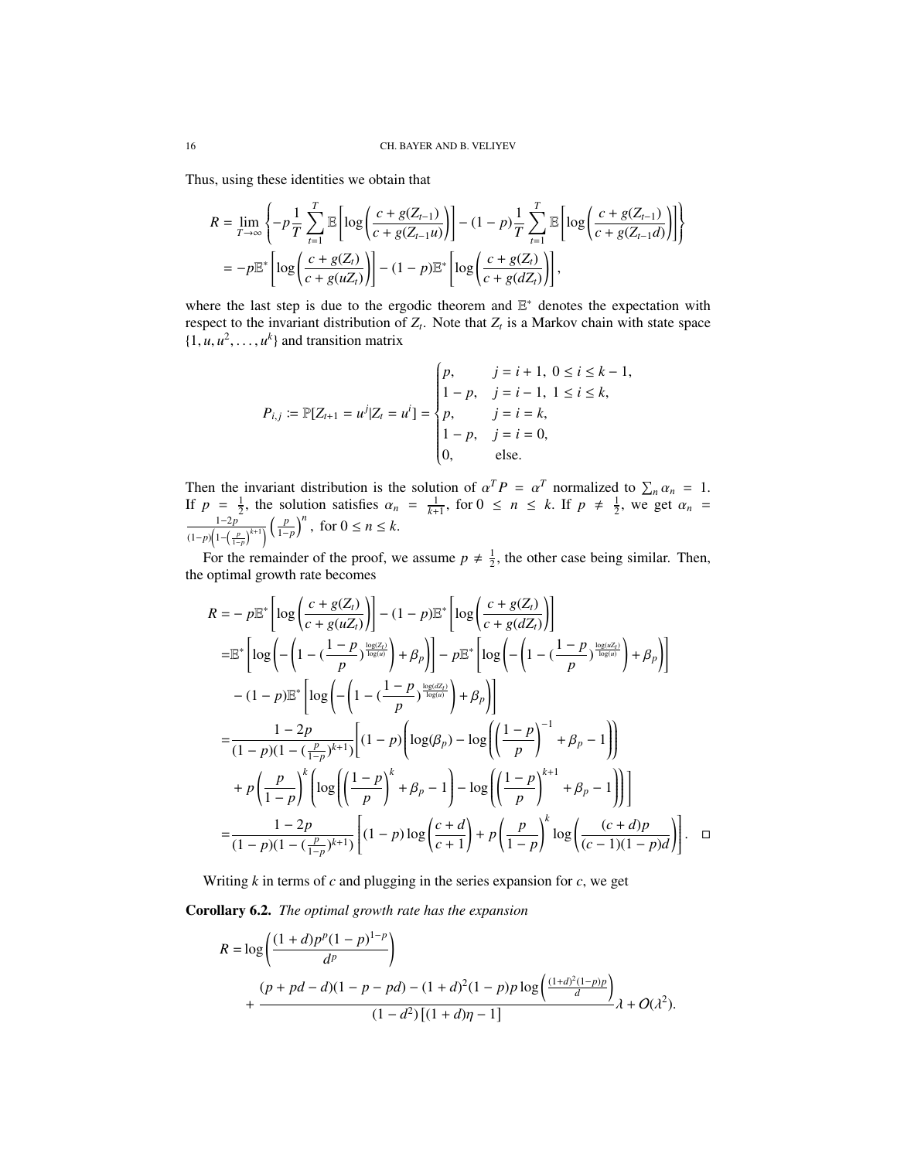Thus, using these identities we obtain that

$$
R = \lim_{T \to \infty} \left\{-p\frac{1}{T} \sum_{t=1}^{T} \mathbb{E}\left[\log\left(\frac{c+g(Z_{t-1})}{c+g(Z_{t-1}u)}\right)\right] - (1-p)\frac{1}{T} \sum_{t=1}^{T} \mathbb{E}\left[\log\left(\frac{c+g(Z_{t-1})}{c+g(Z_{t-1}d)}\right)\right]\right\}
$$
  
=  $-p\mathbb{E}^*\left[\log\left(\frac{c+g(Z_t)}{c+g(uZ_t)}\right)\right] - (1-p)\mathbb{E}^*\left[\log\left(\frac{c+g(Z_t)}{c+g(dZ_t)}\right)\right],$ 

where the last step is due to the ergodic theorem and  $E^*$  denotes the expectation with respect to the invariant distribution of  $Z_t$ . Note that  $Z_t$  is a Markov chain with state space  $\{1, u, u^2, \dots, u^k\}$  and transition matrix

$$
P_{i,j} := \mathbb{P}[Z_{t+1} = u^j | Z_t = u^i] = \begin{cases} p, & j = i + 1, \ 0 \le i \le k - 1, \\ 1 - p, & j = i - 1, \ 1 \le i \le k, \\ p, & j = i = k, \\ 1 - p, & j = i = 0, \\ 0, & \text{else.} \end{cases}
$$

Then the invariant distribution is the solution of  $\alpha^T P = \alpha^T$  normalized to  $\sum_n \alpha_n = 1$ .<br>If  $p = \frac{1}{2}$ , the solution satisfies  $\alpha_n = \frac{1}{k+1}$ , for  $0 \le n \le k$ . If  $p \ne \frac{1}{2}$ , we get  $\alpha_n = \frac{1-2p}{2}$  (*p*)<sup>*n*</sup> for  $0 \$  $\frac{1-2p}{(1-p)\left(1-\left(\frac{p}{1-p}\right)^{k+1}\right)}\left(\frac{p}{1-p}\right)^{n}$ , for  $0 \le n \le k$ .

For the remainder of the proof, we assume  $p \neq \frac{1}{2}$ , the other case being similar. Then, optimal growth rate becomes the optimal growth rate becomes

$$
R = -p\mathbb{E}^* \left[ \log \left( \frac{c + g(Z_t)}{c + g(uZ_t)} \right) \right] - (1 - p)\mathbb{E}^* \left[ \log \left( \frac{c + g(Z_t)}{c + g(dZ_t)} \right) \right]
$$
  
\n
$$
= \mathbb{E}^* \left[ \log \left( -\left( 1 - \left( \frac{1 - p}{p} \right)^{\frac{\log(Z_t)}{\log(a)}} \right) + \beta_p \right) \right] - p \mathbb{E}^* \left[ \log \left( -\left( 1 - \left( \frac{1 - p}{p} \right)^{\frac{\log(uZ_t)}{\log(a)}} \right) + \beta_p \right) \right]
$$
  
\n
$$
- (1 - p)\mathbb{E}^* \left[ \log \left( -\left( 1 - \left( \frac{1 - p}{p} \right)^{\frac{\log(uZ_t)}{\log(a)}} \right) + \beta_p \right) \right]
$$
  
\n
$$
= \frac{1 - 2p}{(1 - p)(1 - \left( \frac{p}{1 - p} \right)^{k+1})} \left[ (1 - p) \left( \log(\beta_p) - \log \left( \left( \frac{1 - p}{p} \right)^{-1} + \beta_p - 1 \right) \right) \right]
$$
  
\n
$$
+ p \left( \frac{p}{1 - p} \right)^k \left( \log \left( \left( \frac{1 - p}{p} \right)^k + \beta_p - 1 \right) - \log \left( \left( \frac{1 - p}{p} \right)^{k+1} + \beta_p - 1 \right) \right) \right]
$$
  
\n
$$
= \frac{1 - 2p}{(1 - p)(1 - \left( \frac{p}{1 - p} \right)^{k+1})} \left[ (1 - p) \log \left( \frac{c + d}{c + 1} \right) + p \left( \frac{p}{1 - p} \right)^k \log \left( \frac{(c + d)p}{(c - 1)(1 - p)d} \right) \right]. \quad \Box
$$

Writing *k* in terms of *c* and plugging in the series expansion for *c*, we get

## <span id="page-15-0"></span>Corollary 6.2. *The optimal growth rate has the expansion*

$$
R = \log\left(\frac{(1+d)p^{p}(1-p)^{1-p}}{d^{p}}\right)
$$
  
+ 
$$
\frac{(p+pd-d)(1-p-pd)-(1+d)^{2}(1-p)p\log\left(\frac{(1+d)^{2}(1-p)p}{d}\right)}{(1-d^{2})[(1+d)\eta-1]}\lambda + O(\lambda^{2}).
$$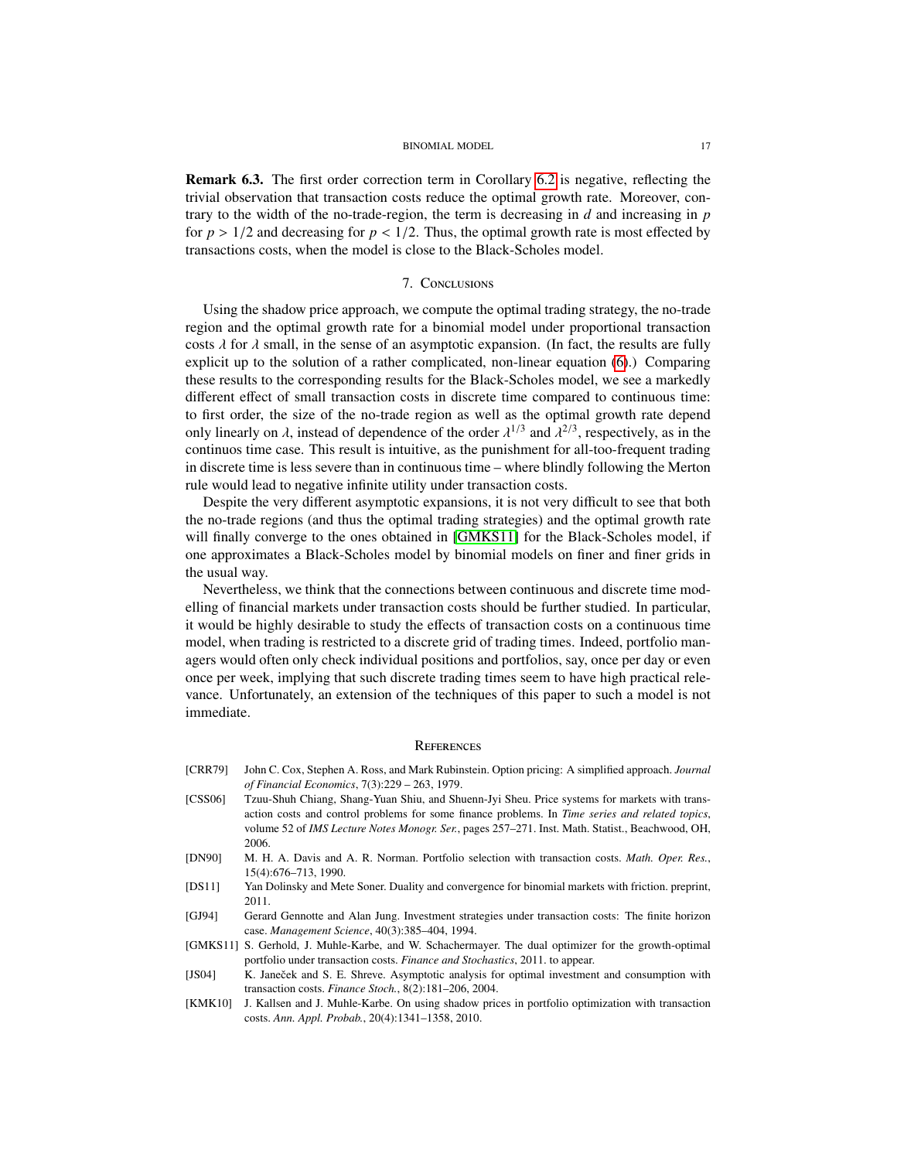Remark 6.3. The first order correction term in Corollary [6.2](#page-15-0) is negative, reflecting the trivial observation that transaction costs reduce the optimal growth rate. Moreover, contrary to the width of the no-trade-region, the term is decreasing in *d* and increasing in *p* for  $p > 1/2$  and decreasing for  $p < 1/2$ . Thus, the optimal growth rate is most effected by transactions costs, when the model is close to the Black-Scholes model.

## 7. Conclusions

Using the shadow price approach, we compute the optimal trading strategy, the no-trade region and the optimal growth rate for a binomial model under proportional transaction costs  $\lambda$  for  $\lambda$  small, in the sense of an asymptotic expansion. (In fact, the results are fully explicit up to the solution of a rather complicated, non-linear equation [\(6\)](#page-8-5).) Comparing these results to the corresponding results for the Black-Scholes model, we see a markedly different effect of small transaction costs in discrete time compared to continuous time: to first order, the size of the no-trade region as well as the optimal growth rate depend only linearly on  $\lambda$ , instead of dependence of the order  $\lambda^{1/3}$  and  $\lambda^{2/3}$ , respectively, as in the continuos time case. This result is intuitive, as the nunishment for all-too-frequent trading continuos time case. This result is intuitive, as the punishment for all-too-frequent trading in discrete time is less severe than in continuous time – where blindly following the Merton rule would lead to negative infinite utility under transaction costs.

Despite the very different asymptotic expansions, it is not very difficult to see that both the no-trade regions (and thus the optimal trading strategies) and the optimal growth rate will finally converge to the ones obtained in [\[GMKS11\]](#page-16-3) for the Black-Scholes model, if one approximates a Black-Scholes model by binomial models on finer and finer grids in the usual way.

Nevertheless, we think that the connections between continuous and discrete time modelling of financial markets under transaction costs should be further studied. In particular, it would be highly desirable to study the effects of transaction costs on a continuous time model, when trading is restricted to a discrete grid of trading times. Indeed, portfolio managers would often only check individual positions and portfolios, say, once per day or even once per week, implying that such discrete trading times seem to have high practical relevance. Unfortunately, an extension of the techniques of this paper to such a model is not immediate.

#### **REFERENCES**

- <span id="page-16-7"></span>[CRR79] John C. Cox, Stephen A. Ross, and Mark Rubinstein. Option pricing: A simplified approach. *Journal of Financial Economics*, 7(3):229 – 263, 1979.
- <span id="page-16-5"></span>[CSS06] Tzuu-Shuh Chiang, Shang-Yuan Shiu, and Shuenn-Jyi Sheu. Price systems for markets with transaction costs and control problems for some finance problems. In *Time series and related topics*, volume 52 of *IMS Lecture Notes Monogr. Ser.*, pages 257–271. Inst. Math. Statist., Beachwood, OH, 2006.
- <span id="page-16-0"></span>[DN90] M. H. A. Davis and A. R. Norman. Portfolio selection with transaction costs. *Math. Oper. Res.*, 15(4):676–713, 1990.
- <span id="page-16-6"></span>[DS11] Yan Dolinsky and Mete Soner. Duality and convergence for binomial markets with friction. preprint, 2011.
- <span id="page-16-4"></span>[GJ94] Gerard Gennotte and Alan Jung. Investment strategies under transaction costs: The finite horizon case. *Management Science*, 40(3):385–404, 1994.
- <span id="page-16-3"></span>[GMKS11] S. Gerhold, J. Muhle-Karbe, and W. Schachermayer. The dual optimizer for the growth-optimal portfolio under transaction costs. *Finance and Stochastics*, 2011. to appear.
- <span id="page-16-1"></span>[JS04] K. Janeček and S. E. Shreve. Asymptotic analysis for optimal investment and consumption with transaction costs. *Finance Stoch.*, 8(2):181–206, 2004.
- <span id="page-16-2"></span>[KMK10] J. Kallsen and J. Muhle-Karbe. On using shadow prices in portfolio optimization with transaction costs. *Ann. Appl. Probab.*, 20(4):1341–1358, 2010.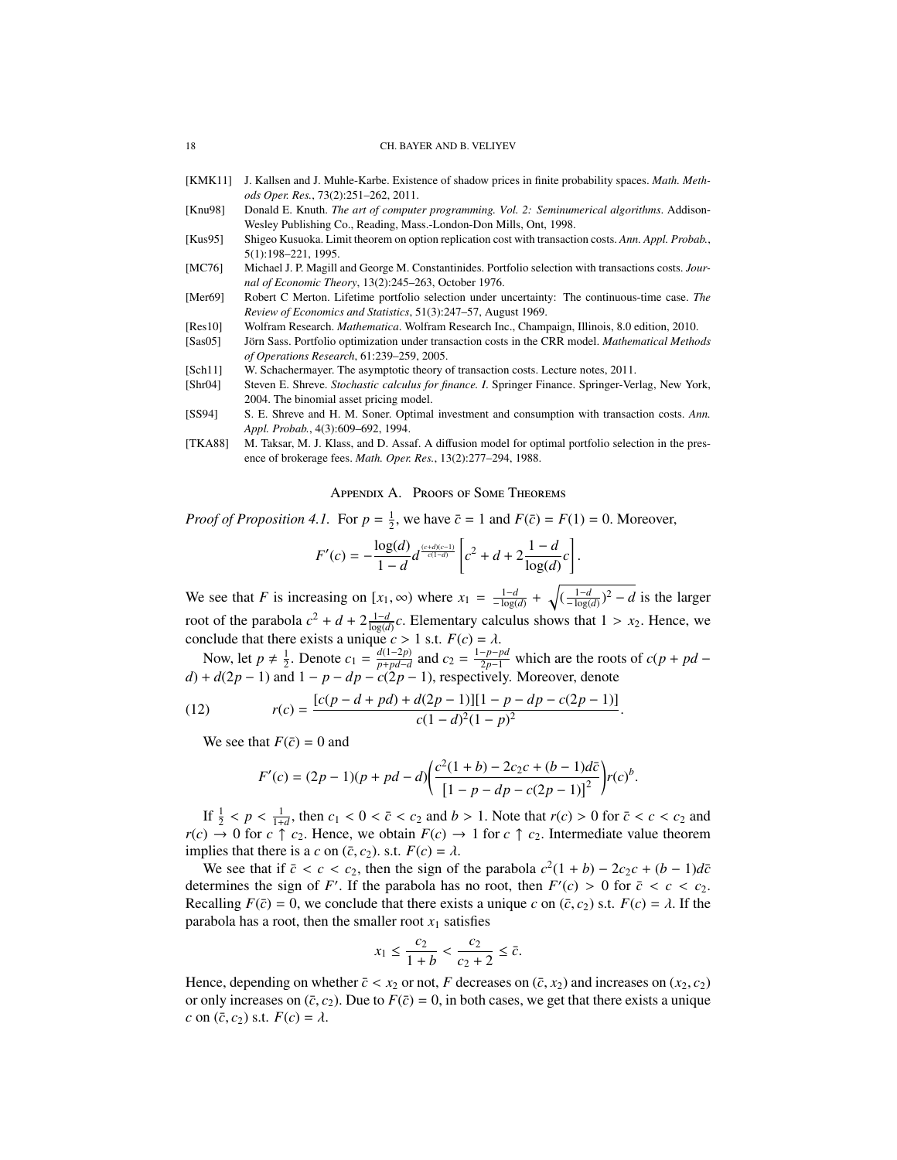- <span id="page-17-7"></span>[KMK11] J. Kallsen and J. Muhle-Karbe. Existence of shadow prices in finite probability spaces. *Math. Methods Oper. Res.*, 73(2):251–262, 2011.
- <span id="page-17-11"></span>[Knu98] Donald E. Knuth. *The art of computer programming. Vol. 2: Seminumerical algorithms*. Addison-Wesley Publishing Co., Reading, Mass.-London-Don Mills, Ont, 1998.
- <span id="page-17-5"></span>[Kus95] Shigeo Kusuoka. Limit theorem on option replication cost with transaction costs. *Ann. Appl. Probab.*, 5(1):198–221, 1995.
- <span id="page-17-1"></span>[MC76] Michael J. P. Magill and George M. Constantinides. Portfolio selection with transactions costs. *Journal of Economic Theory*, 13(2):245–263, October 1976.
- <span id="page-17-0"></span>[Mer69] Robert C Merton. Lifetime portfolio selection under uncertainty: The continuous-time case. *The Review of Economics and Statistics*, 51(3):247–57, August 1969.
- <span id="page-17-10"></span>[Res10] Wolfram Research. *Mathematica*. Wolfram Research Inc., Champaign, Illinois, 8.0 edition, 2010.
- <span id="page-17-4"></span>[Sas05] Jörn Sass. Portfolio optimization under transaction costs in the CRR model. *Mathematical Methods of Operations Research*, 61:239–259, 2005.
- <span id="page-17-8"></span>[Sch11] W. Schachermayer. The asymptotic theory of transaction costs. Lecture notes, 2011.
- <span id="page-17-6"></span>[Shr04] Steven E. Shreve. *Stochastic calculus for finance. I*. Springer Finance. Springer-Verlag, New York, 2004. The binomial asset pricing model.
- <span id="page-17-2"></span>[SS94] S. E. Shreve and H. M. Soner. Optimal investment and consumption with transaction costs. *Ann. Appl. Probab.*, 4(3):609–692, 1994.
- <span id="page-17-3"></span>[TKA88] M. Taksar, M. J. Klass, and D. Assaf. A diffusion model for optimal portfolio selection in the presence of brokerage fees. *Math. Oper. Res.*, 13(2):277–294, 1988.

### Appendix A. Proofs of Some Theorems

<span id="page-17-9"></span>*Proof of Proposition 4.1.* For  $p = \frac{1}{2}$ , we have  $\bar{c} = 1$  and  $F(\bar{c}) = F(1) = 0$ . Moreover,

$$
F'(c) = -\frac{\log(d)}{1 - d} d^{\frac{(c+d)(c-1)}{c(1-d)}} \left[ c^2 + d + 2 \frac{1 - d}{\log(d)} c \right].
$$

We see that *F* is increasing on  $[x_1, \infty)$  where  $x_1 = \frac{1-d}{-\log(d)} + \sqrt{(\frac{1-d}{-\log(d)})^2 - d}$  is the larger root of the parabola  $c^2 + d + 2\frac{1-d}{\log(d)}c$ . Elementary calculus shows that  $1 > x_2$ . Hence, we

conclude that there exists a unique *c* > 1 s.t.  $F(c) = \lambda$ .<br>Now, let  $p \neq \frac{1}{2}$ . Denote  $c_1 = \frac{d(1-2p)}{p+p d-d}$  and  $c_2 = \frac{1-p-l}{2p-1}$  $\frac{d(1-2p)}{p+pd-d}$  and  $c_2 = \frac{1-p-pd}{2p-1}$  which are the roots of  $c(p+pd-1)$ *d*) +  $d(2p - 1)$  and  $1 - p - dp - c(2p - 1)$ , respectively. Moreover, denote

(12) 
$$
r(c) = \frac{[c(p-d+pd)+d(2p-1)][1-p-dp-c(2p-1)]}{c(1-d)^2(1-p)^2}.
$$

We see that  $F(\bar{c}) = 0$  and

$$
F'(c) = (2p - 1)(p + pd - d)\left(\frac{c^2(1 + b) - 2c_2c + (b - 1)d\bar{c}}{[1 - p - dp - c(2p - 1)]^2}\right) r(c)^b.
$$

If  $\frac{1}{2} < p < \frac{1}{1+d}$ , then  $c_1 < 0 < \bar{c} < c_2$  and  $b > 1$ . Note that  $r(c) > 0$  for  $\bar{c} < c < c_2$  and  $\bar{c} > 0$  for  $c \uparrow c_2$ .  $r(c) \rightarrow 0$  for  $c \uparrow c_2$ . Hence, we obtain  $F(c) \rightarrow 1$  for  $c \uparrow c_2$ . Intermediate value theorem implies that there is a *c* on  $(\bar{c}, c_2)$ . s.t.  $F(c) = \lambda$ .

We see that if  $\bar{c} < c < c_2$ , then the sign of the parabola  $c^2(1 + b) - 2c_2c + (b - 1)d\bar{c}$ <br>ermines the sign of  $F'$ . If the parabola has no root, then  $F'(c) > 0$  for  $\bar{c} < c < c_2$ . determines the sign of *F'*. If the parabola has no root, then  $F'(c) > 0$  for  $\bar{c} < c < c_2$ .<br>Recalling  $F(\bar{c}) = 0$ , we conclude that there exists a unique c on  $(\bar{c}, c_2)$  s t.  $F(c) = \lambda$  If the Recalling  $F(\bar{c}) = 0$ , we conclude that there exists a unique *c* on  $(\bar{c}, c_2)$  s.t.  $F(c) = \lambda$ . If the parabola has a root, then the smaller root  $x_1$  satisfies

$$
x_1 \le \frac{c_2}{1+b} < \frac{c_2}{c_2 + 2} \le \bar{c}.
$$

Hence, depending on whether  $\bar{c} < x_2$  or not, *F* decreases on  $(\bar{c}, x_2)$  and increases on  $(x_2, c_2)$ or only increases on  $(\bar{c}, c_2)$ . Due to  $F(\bar{c}) = 0$ , in both cases, we get that there exists a unique *c* on  $(\bar{c}, c_2)$  s.t.  $F(c) = \lambda$ .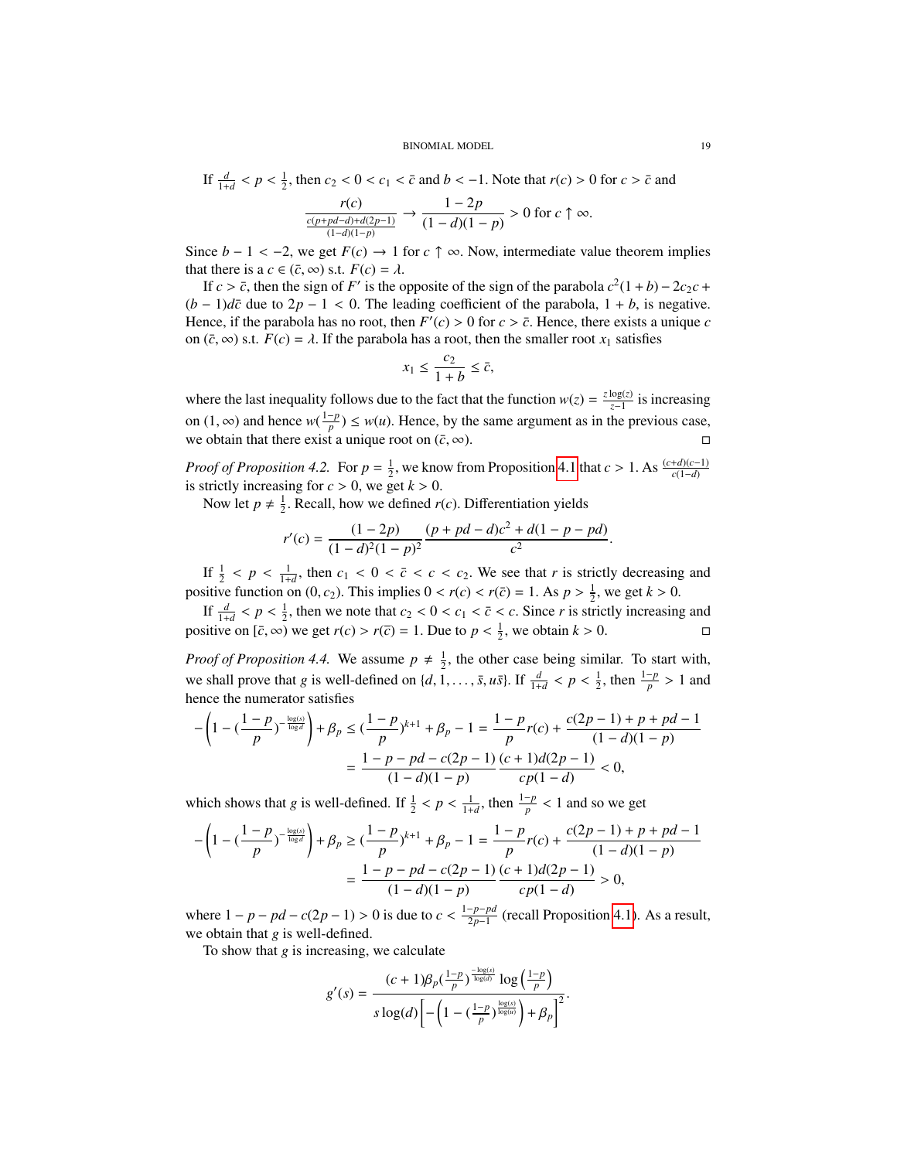If 
$$
\frac{d}{1+d} < p < \frac{1}{2}
$$
, then  $c_2 < 0 < c_1 < \bar{c}$  and  $b < -1$ . Note that  $r(c) > 0$  for  $c > \bar{c}$  and  $\frac{r(c)}{\frac{c(p + pd - d) + d(2p - 1)}{(1 - d)(1 - p)}} \to \frac{1 - 2p}{(1 - d)(1 - p)} > 0$  for  $c \uparrow \infty$ .

Since *b* − 1 < −2, we get  $F(c) \rightarrow 1$  for  $c \uparrow \infty$ . Now, intermediate value theorem implies that there is a  $c \in (\bar{c}, \infty)$  s.t.  $F(c) = \lambda$ .

If  $c > \bar{c}$ , then the sign of *F'* is the opposite of the sign of the parabola  $c^2(1+b) - 2c_2c +$ <br>- 1)d $\bar{c}$  due to  $2n - 1 < 0$ . The leading coefficient of the parabola  $1 + b$  is negative  $(b-1)d\bar{c}$  due to  $2p-1 < 0$ . The leading coefficient of the parabola,  $1 + b$ , is negative. Hence, if the parabola has no root, then  $F'(c) > 0$  for  $c > \overline{c}$ . Hence, there exists a unique *c*<br>on  $(\overline{c}, \infty)$  s t,  $F(c) = \lambda$ . If the parabola has a root, then the smaller root *x*, satisfies on  $(\bar{c}, \infty)$  s.t.  $F(c) = \lambda$ . If the parabola has a root, then the smaller root  $x_1$  satisfies

$$
x_1 \le \frac{c_2}{1+b} \le \bar{c},
$$

where the last inequality follows due to the fact that the function  $w(z) = \frac{z \log(z)}{z-1}$  is increasing on (1, ∞) and hence  $w(\frac{1-p}{p})$ <br>we obtain that there exist a  $\frac{p}{p}$   $\leq w(u)$ . Hence, by the same argument as in the previous case, we obtain that there exist a unique root on  $(\bar{c}, \infty)$ .

*Proof of Proposition 4.2.* For  $p = \frac{1}{2}$ , we know from Proposition [4.1](#page-8-7) that  $c > 1$ . As  $\frac{(c+d)(c-1)}{c(1-d)}$ is strictly increasing for  $c > 0$ , we get  $k > 0$ .

Now let  $p \neq \frac{1}{2}$ . Recall, how we defined *r*(*c*). Differentiation yields

$$
r'(c) = \frac{(1-2p)}{(1-d)^2(1-p)^2} \frac{(p+pd-d)c^2 + d(1-p-pd)}{c^2}.
$$

If  $\frac{1}{2} < p < \frac{1}{1+d}$ , then  $c_1 < 0 < \bar{c} < c < c_2$ . We see that *r* is strictly decreasing and situation on  $(0, \epsilon)$ . This implies  $0 < r(\epsilon) < r(\bar{\epsilon}) = 1$ ,  $\Delta \epsilon \ln 2^{-1}$ , we get  $k > 0$ . positive function on  $(0, c_2)$ . This implies  $0 < r(c) < r(\bar{c}) = 1$ . As  $p > \frac{1}{2}$ , we get  $k > 0$ .

If  $\frac{d}{1+d} < p < \frac{1}{2}$ , then we note that  $c_2 < 0 < c_1 < \bar{c} < c$ . Since *r* is strictly increasing and it is on  $\bar{c}$  and  $\bar{c}$  and  $\bar{c}$  and  $\bar{c}$  and  $\bar{c}$  and  $\bar{c}$  and  $\bar{c}$  and  $\bar{c}$  and  $\bar{c}$  and  $\$ positive on  $[\bar{c}, \infty)$  we get  $r(c) > r(\bar{c}) = 1$ . Due to  $p < \frac{1}{2}$ , we obtain  $k > 0$ .

*Proof of Proposition 4.4.* We assume  $p \neq \frac{1}{2}$ , the other case being similar. To start with, we shall prove that *g* is well-defined on  $\{d, 1, \ldots, \bar{s}, u\bar{s}\}$ . If  $\frac{d}{1+d} < p < \frac{1}{2}$ , then  $\frac{1-p}{p} > 1$  and hence the numerator satisfies

$$
-\left(1 - \left(\frac{1-p}{p}\right)^{-\frac{\log(s)}{\log d}}\right) + \beta_p \le \left(\frac{1-p}{p}\right)^{k+1} + \beta_p - 1 = \frac{1-p}{p}r(c) + \frac{c(2p-1)+p+pd-1}{(1-d)(1-p)}\\ = \frac{1-p-pd-c(2p-1)}{(1-d)(1-p)}\frac{(c+1)d(2p-1)}{cp(1-d)} < 0,
$$

which shows that *g* is well-defined. If  $\frac{1}{2} < p < \frac{1}{1+d}$ , then  $\frac{1-p}{p} < 1$  and so we get

$$
-\left(1 - \left(\frac{1-p}{p}\right)^{-\frac{\log(s)}{\log d}}\right) + \beta_p \ge \left(\frac{1-p}{p}\right)^{k+1} + \beta_p - 1 = \frac{1-p}{p}r(c) + \frac{c(2p-1) + p + pd - 1}{(1-d)(1-p)} = \frac{1-p - pd - c(2p-1)\left(c + 1\right)d(2p-1)}{(1-d)(1-p)} > 0,
$$

where  $1 - p - pd - c(2p - 1) > 0$  is due to  $c < \frac{1 - p - pd}{2p - 1}$ <sup>-*p*−*pa*</sup> (recall Proposition [4.1\)](#page-8-7). As a result, we obtain that *g* is well-defined.

To show that *g* is increasing, we calculate

$$
g'(s) = \frac{(c+1)\beta_p(\frac{1-p}{p})^{\frac{-\log(s)}{\log(d)}}\log(\frac{1-p}{p})}{s\log(d)\left[-\left(1-(\frac{1-p}{p})^{\frac{\log(s)}{\log(u)}}\right)+\beta_p\right]^2}.
$$